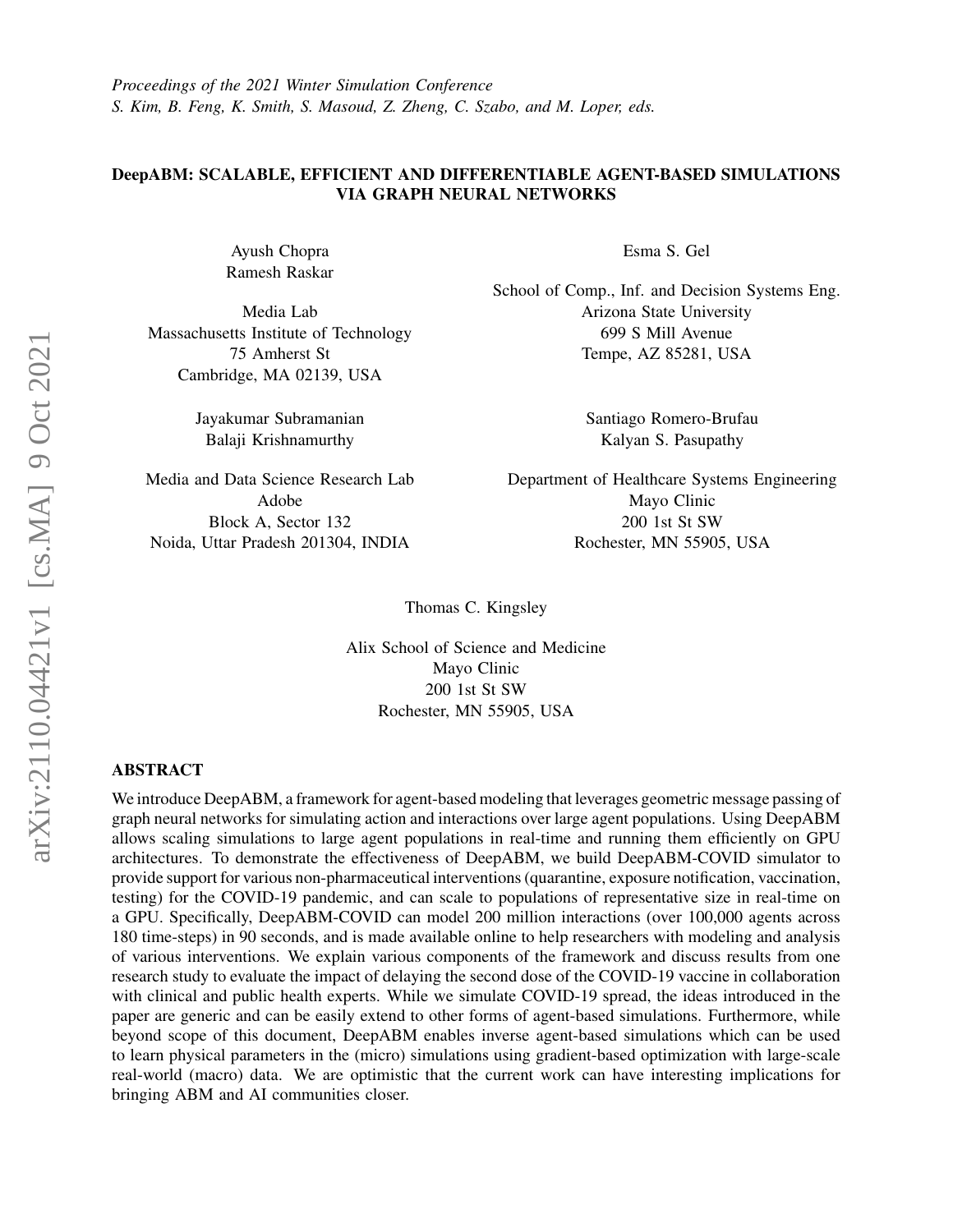*Proceedings of the 2021 Winter Simulation Conference S. Kim, B. Feng, K. Smith, S. Masoud, Z. Zheng, C. Szabo, and M. Loper, eds.*

# DeepABM: SCALABLE, EFFICIENT AND DIFFERENTIABLE AGENT-BASED SIMULATIONS VIA GRAPH NEURAL NETWORKS

Ayush Chopra Ramesh Raskar

Media Lab Massachusetts Institute of Technology 75 Amherst St Cambridge, MA 02139, USA

> Jayakumar Subramanian Balaji Krishnamurthy

Media and Data Science Research Lab Adobe Block A, Sector 132 Noida, Uttar Pradesh 201304, INDIA

Esma S. Gel

School of Comp., Inf. and Decision Systems Eng. Arizona State University 699 S Mill Avenue Tempe, AZ 85281, USA

> Santiago Romero-Brufau Kalyan S. Pasupathy

Department of Healthcare Systems Engineering Mayo Clinic 200 1st St SW Rochester, MN 55905, USA

Thomas C. Kingsley

Alix School of Science and Medicine Mayo Clinic 200 1st St SW Rochester, MN 55905, USA

## ABSTRACT

We introduce DeepABM, a framework for agent-based modeling that leverages geometric message passing of graph neural networks for simulating action and interactions over large agent populations. Using DeepABM allows scaling simulations to large agent populations in real-time and running them efficiently on GPU architectures. To demonstrate the effectiveness of DeepABM, we build DeepABM-COVID simulator to provide support for various non-pharmaceutical interventions (quarantine, exposure notification, vaccination, testing) for the COVID-19 pandemic, and can scale to populations of representative size in real-time on a GPU. Specifically, DeepABM-COVID can model 200 million interactions (over 100,000 agents across 180 time-steps) in 90 seconds, and is made available online to help researchers with modeling and analysis of various interventions. We explain various components of the framework and discuss results from one research study to evaluate the impact of delaying the second dose of the COVID-19 vaccine in collaboration with clinical and public health experts. While we simulate COVID-19 spread, the ideas introduced in the paper are generic and can be easily extend to other forms of agent-based simulations. Furthermore, while beyond scope of this document, DeepABM enables inverse agent-based simulations which can be used to learn physical parameters in the (micro) simulations using gradient-based optimization with large-scale real-world (macro) data. We are optimistic that the current work can have interesting implications for bringing ABM and AI communities closer.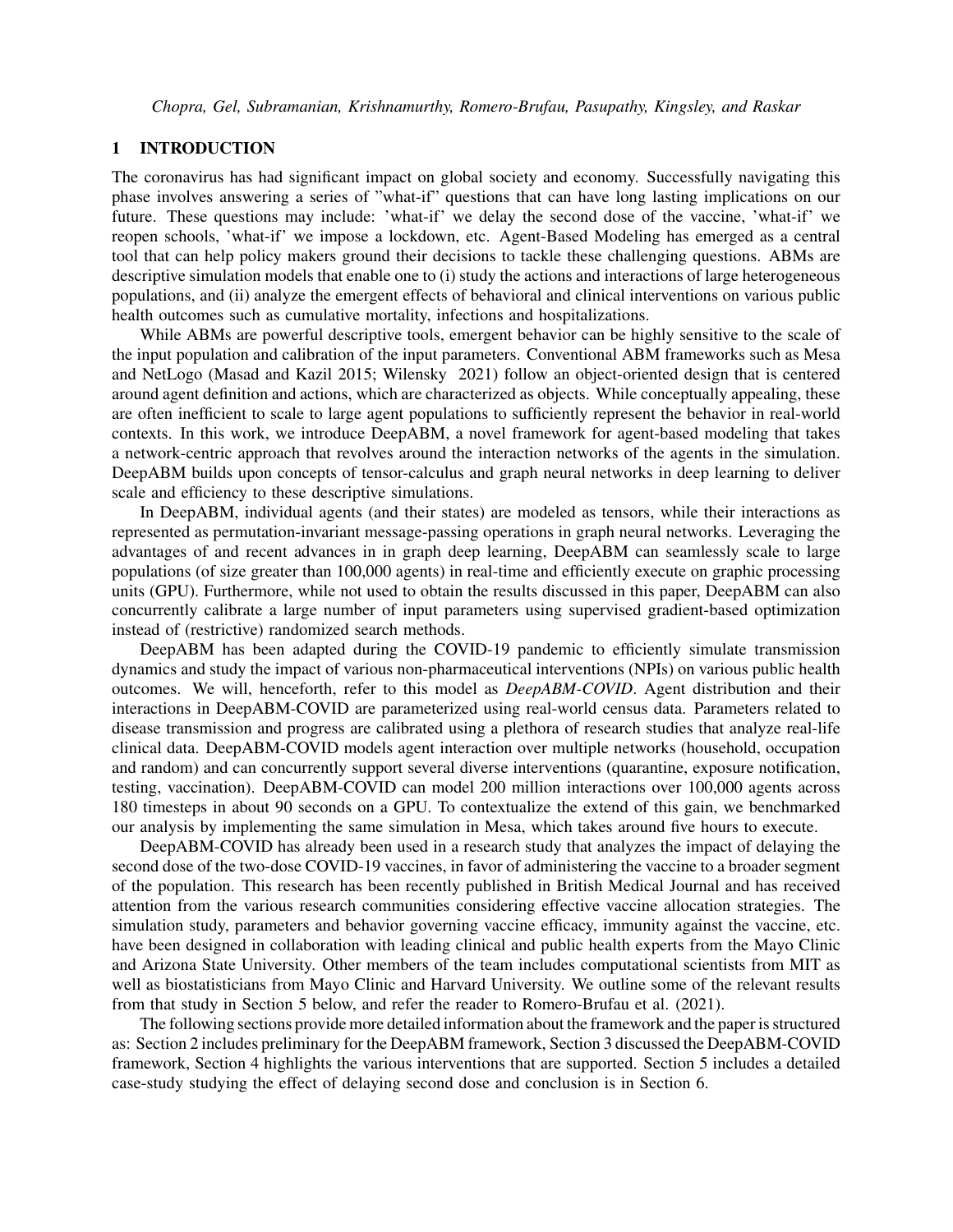### 1 INTRODUCTION

The coronavirus has had significant impact on global society and economy. Successfully navigating this phase involves answering a series of "what-if" questions that can have long lasting implications on our future. These questions may include: 'what-if' we delay the second dose of the vaccine, 'what-if' we reopen schools, 'what-if' we impose a lockdown, etc. Agent-Based Modeling has emerged as a central tool that can help policy makers ground their decisions to tackle these challenging questions. ABMs are descriptive simulation models that enable one to (i) study the actions and interactions of large heterogeneous populations, and (ii) analyze the emergent effects of behavioral and clinical interventions on various public health outcomes such as cumulative mortality, infections and hospitalizations.

While ABMs are powerful descriptive tools, emergent behavior can be highly sensitive to the scale of the input population and calibration of the input parameters. Conventional ABM frameworks such as Mesa and NetLogo (Masad and Kazil 2015; Wilensky 2021) follow an object-oriented design that is centered around agent definition and actions, which are characterized as objects. While conceptually appealing, these are often inefficient to scale to large agent populations to sufficiently represent the behavior in real-world contexts. In this work, we introduce DeepABM, a novel framework for agent-based modeling that takes a network-centric approach that revolves around the interaction networks of the agents in the simulation. DeepABM builds upon concepts of tensor-calculus and graph neural networks in deep learning to deliver scale and efficiency to these descriptive simulations.

In DeepABM, individual agents (and their states) are modeled as tensors, while their interactions as represented as permutation-invariant message-passing operations in graph neural networks. Leveraging the advantages of and recent advances in in graph deep learning, DeepABM can seamlessly scale to large populations (of size greater than 100,000 agents) in real-time and efficiently execute on graphic processing units (GPU). Furthermore, while not used to obtain the results discussed in this paper, DeepABM can also concurrently calibrate a large number of input parameters using supervised gradient-based optimization instead of (restrictive) randomized search methods.

DeepABM has been adapted during the COVID-19 pandemic to efficiently simulate transmission dynamics and study the impact of various non-pharmaceutical interventions (NPIs) on various public health outcomes. We will, henceforth, refer to this model as *DeepABM-COVID*. Agent distribution and their interactions in DeepABM-COVID are parameterized using real-world census data. Parameters related to disease transmission and progress are calibrated using a plethora of research studies that analyze real-life clinical data. DeepABM-COVID models agent interaction over multiple networks (household, occupation and random) and can concurrently support several diverse interventions (quarantine, exposure notification, testing, vaccination). DeepABM-COVID can model 200 million interactions over 100,000 agents across 180 timesteps in about 90 seconds on a GPU. To contextualize the extend of this gain, we benchmarked our analysis by implementing the same simulation in Mesa, which takes around five hours to execute.

DeepABM-COVID has already been used in a research study that analyzes the impact of delaying the second dose of the two-dose COVID-19 vaccines, in favor of administering the vaccine to a broader segment of the population. This research has been recently published in British Medical Journal and has received attention from the various research communities considering effective vaccine allocation strategies. The simulation study, parameters and behavior governing vaccine efficacy, immunity against the vaccine, etc. have been designed in collaboration with leading clinical and public health experts from the Mayo Clinic and Arizona State University. Other members of the team includes computational scientists from MIT as well as biostatisticians from Mayo Clinic and Harvard University. We outline some of the relevant results from that study in Section 5 below, and refer the reader to Romero-Brufau et al. (2021).

The following sections provide more detailed information about the framework and the paper is structured as: Section 2 includes preliminary for the DeepABM framework, Section 3 discussed the DeepABM-COVID framework, Section 4 highlights the various interventions that are supported. Section 5 includes a detailed case-study studying the effect of delaying second dose and conclusion is in Section 6.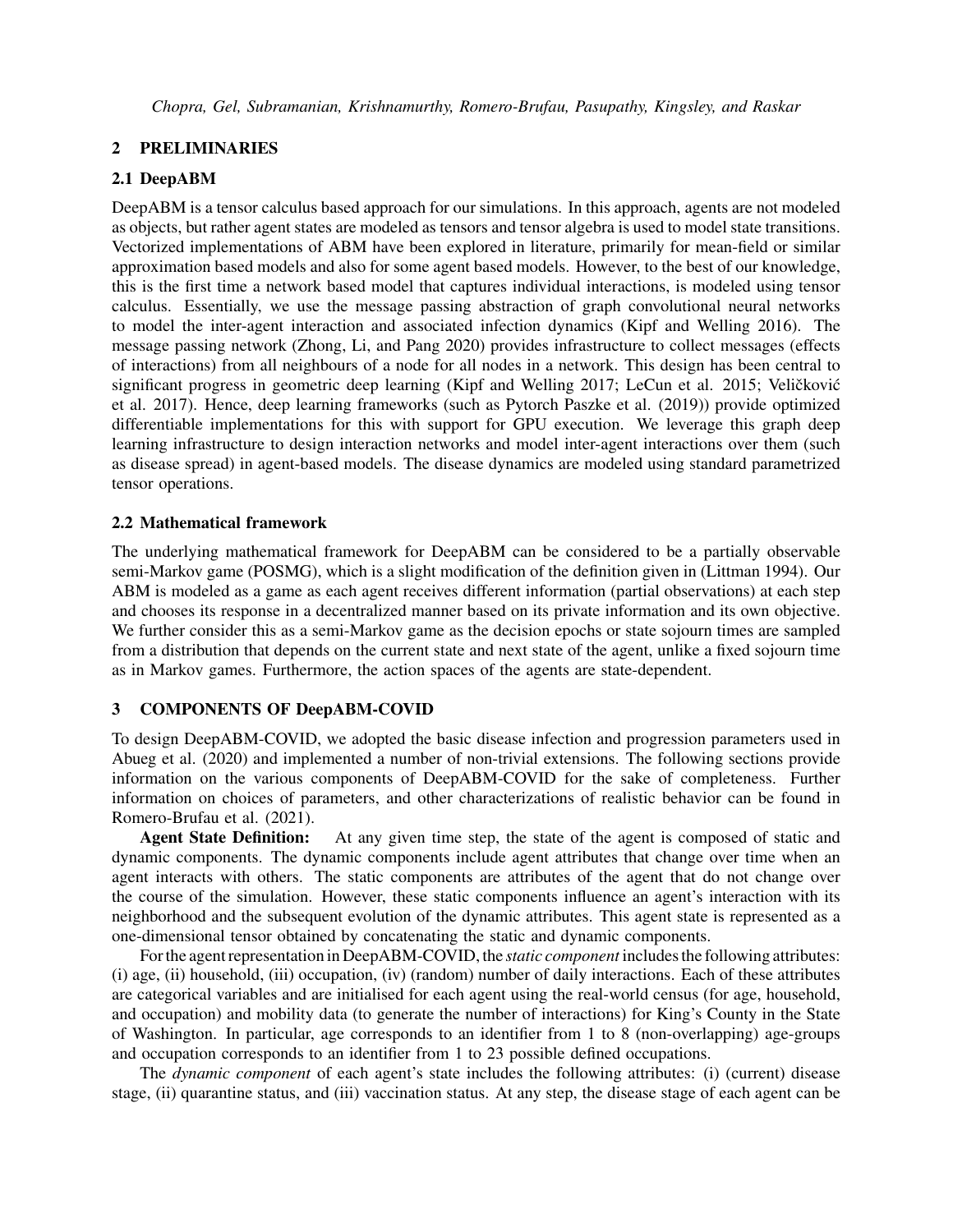## 2 PRELIMINARIES

## 2.1 DeepABM

DeepABM is a tensor calculus based approach for our simulations. In this approach, agents are not modeled as objects, but rather agent states are modeled as tensors and tensor algebra is used to model state transitions. Vectorized implementations of ABM have been explored in literature, primarily for mean-field or similar approximation based models and also for some agent based models. However, to the best of our knowledge, this is the first time a network based model that captures individual interactions, is modeled using tensor calculus. Essentially, we use the message passing abstraction of graph convolutional neural networks to model the inter-agent interaction and associated infection dynamics (Kipf and Welling 2016). The message passing network (Zhong, Li, and Pang 2020) provides infrastructure to collect messages (effects of interactions) from all neighbours of a node for all nodes in a network. This design has been central to significant progress in geometric deep learning (Kipf and Welling 2017; LeCun et al. 2015; Veličković et al. 2017). Hence, deep learning frameworks (such as Pytorch Paszke et al. (2019)) provide optimized differentiable implementations for this with support for GPU execution. We leverage this graph deep learning infrastructure to design interaction networks and model inter-agent interactions over them (such as disease spread) in agent-based models. The disease dynamics are modeled using standard parametrized tensor operations.

# 2.2 Mathematical framework

The underlying mathematical framework for DeepABM can be considered to be a partially observable semi-Markov game (POSMG), which is a slight modification of the definition given in (Littman 1994). Our ABM is modeled as a game as each agent receives different information (partial observations) at each step and chooses its response in a decentralized manner based on its private information and its own objective. We further consider this as a semi-Markov game as the decision epochs or state sojourn times are sampled from a distribution that depends on the current state and next state of the agent, unlike a fixed sojourn time as in Markov games. Furthermore, the action spaces of the agents are state-dependent.

# 3 COMPONENTS OF DeepABM-COVID

To design DeepABM-COVID, we adopted the basic disease infection and progression parameters used in Abueg et al. (2020) and implemented a number of non-trivial extensions. The following sections provide information on the various components of DeepABM-COVID for the sake of completeness. Further information on choices of parameters, and other characterizations of realistic behavior can be found in Romero-Brufau et al. (2021).

**Agent State Definition:** At any given time step, the state of the agent is composed of static and dynamic components. The dynamic components include agent attributes that change over time when an agent interacts with others. The static components are attributes of the agent that do not change over the course of the simulation. However, these static components influence an agent's interaction with its neighborhood and the subsequent evolution of the dynamic attributes. This agent state is represented as a one-dimensional tensor obtained by concatenating the static and dynamic components.

For the agent representation in DeepABM-COVID, the *static component* includes the following attributes: (i) age, (ii) household, (iii) occupation, (iv) (random) number of daily interactions. Each of these attributes are categorical variables and are initialised for each agent using the real-world census (for age, household, and occupation) and mobility data (to generate the number of interactions) for King's County in the State of Washington. In particular, age corresponds to an identifier from 1 to 8 (non-overlapping) age-groups and occupation corresponds to an identifier from 1 to 23 possible defined occupations.

The *dynamic component* of each agent's state includes the following attributes: (i) (current) disease stage, (ii) quarantine status, and (iii) vaccination status. At any step, the disease stage of each agent can be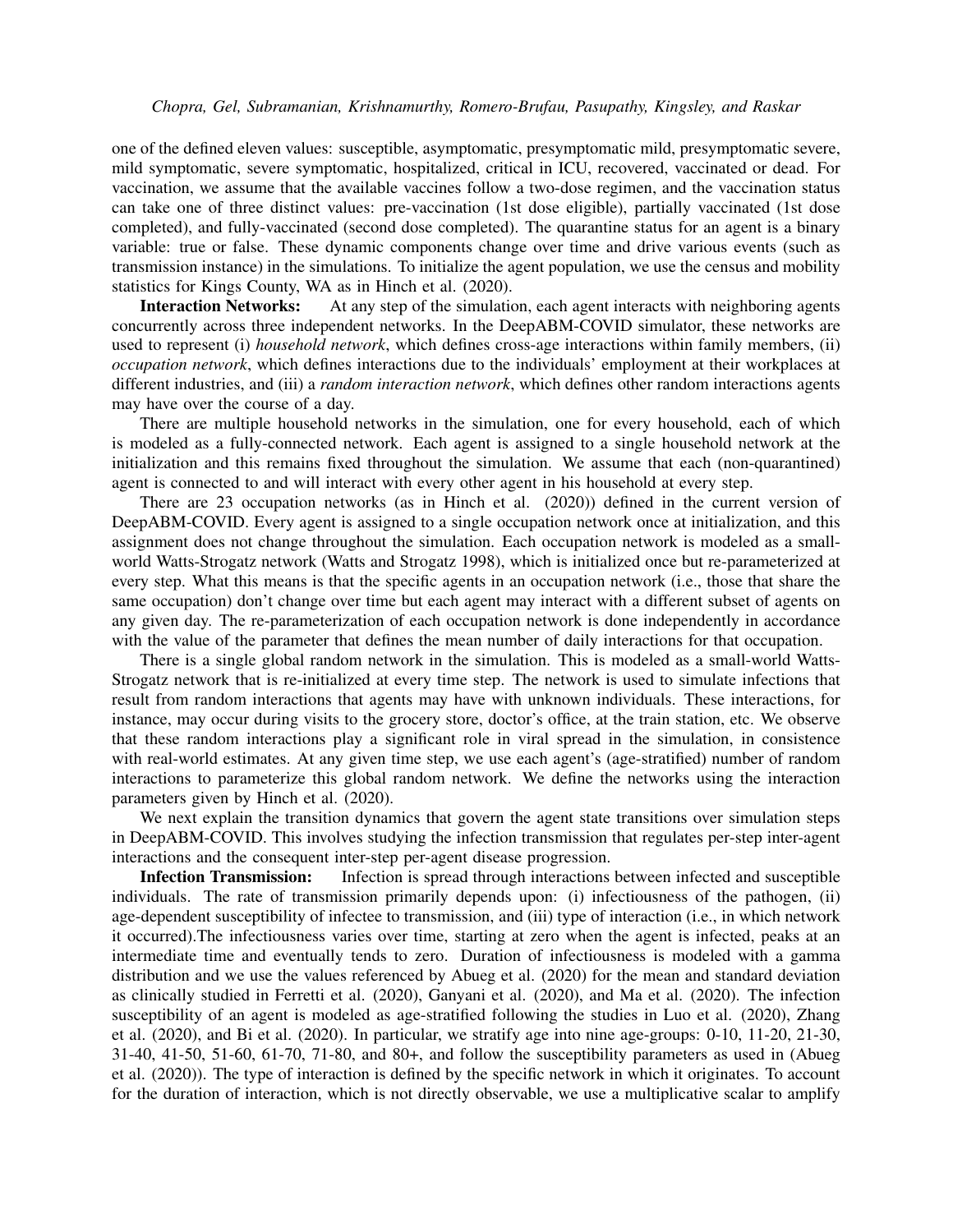one of the defined eleven values: susceptible, asymptomatic, presymptomatic mild, presymptomatic severe, mild symptomatic, severe symptomatic, hospitalized, critical in ICU, recovered, vaccinated or dead. For vaccination, we assume that the available vaccines follow a two-dose regimen, and the vaccination status can take one of three distinct values: pre-vaccination (1st dose eligible), partially vaccinated (1st dose completed), and fully-vaccinated (second dose completed). The quarantine status for an agent is a binary variable: true or false. These dynamic components change over time and drive various events (such as transmission instance) in the simulations. To initialize the agent population, we use the census and mobility statistics for Kings County, WA as in Hinch et al. (2020).

**Interaction Networks:** At any step of the simulation, each agent interacts with neighboring agents concurrently across three independent networks. In the DeepABM-COVID simulator, these networks are used to represent (i) *household network*, which defines cross-age interactions within family members, (ii) *occupation network*, which defines interactions due to the individuals' employment at their workplaces at different industries, and (iii) a *random interaction network*, which defines other random interactions agents may have over the course of a day.

There are multiple household networks in the simulation, one for every household, each of which is modeled as a fully-connected network. Each agent is assigned to a single household network at the initialization and this remains fixed throughout the simulation. We assume that each (non-quarantined) agent is connected to and will interact with every other agent in his household at every step.

There are 23 occupation networks (as in Hinch et al. (2020)) defined in the current version of DeepABM-COVID. Every agent is assigned to a single occupation network once at initialization, and this assignment does not change throughout the simulation. Each occupation network is modeled as a smallworld Watts-Strogatz network (Watts and Strogatz 1998), which is initialized once but re-parameterized at every step. What this means is that the specific agents in an occupation network (i.e., those that share the same occupation) don't change over time but each agent may interact with a different subset of agents on any given day. The re-parameterization of each occupation network is done independently in accordance with the value of the parameter that defines the mean number of daily interactions for that occupation.

There is a single global random network in the simulation. This is modeled as a small-world Watts-Strogatz network that is re-initialized at every time step. The network is used to simulate infections that result from random interactions that agents may have with unknown individuals. These interactions, for instance, may occur during visits to the grocery store, doctor's office, at the train station, etc. We observe that these random interactions play a significant role in viral spread in the simulation, in consistence with real-world estimates. At any given time step, we use each agent's (age-stratified) number of random interactions to parameterize this global random network. We define the networks using the interaction parameters given by Hinch et al. (2020).

We next explain the transition dynamics that govern the agent state transitions over simulation steps in DeepABM-COVID. This involves studying the infection transmission that regulates per-step inter-agent interactions and the consequent inter-step per-agent disease progression.

Infection Transmission: Infection is spread through interactions between infected and susceptible individuals. The rate of transmission primarily depends upon: (i) infectiousness of the pathogen, (ii) age-dependent susceptibility of infectee to transmission, and (iii) type of interaction (i.e., in which network it occurred).The infectiousness varies over time, starting at zero when the agent is infected, peaks at an intermediate time and eventually tends to zero. Duration of infectiousness is modeled with a gamma distribution and we use the values referenced by Abueg et al. (2020) for the mean and standard deviation as clinically studied in Ferretti et al. (2020), Ganyani et al. (2020), and Ma et al. (2020). The infection susceptibility of an agent is modeled as age-stratified following the studies in Luo et al. (2020), Zhang et al. (2020), and Bi et al. (2020). In particular, we stratify age into nine age-groups: 0-10, 11-20, 21-30, 31-40, 41-50, 51-60, 61-70, 71-80, and 80+, and follow the susceptibility parameters as used in (Abueg et al. (2020)). The type of interaction is defined by the specific network in which it originates. To account for the duration of interaction, which is not directly observable, we use a multiplicative scalar to amplify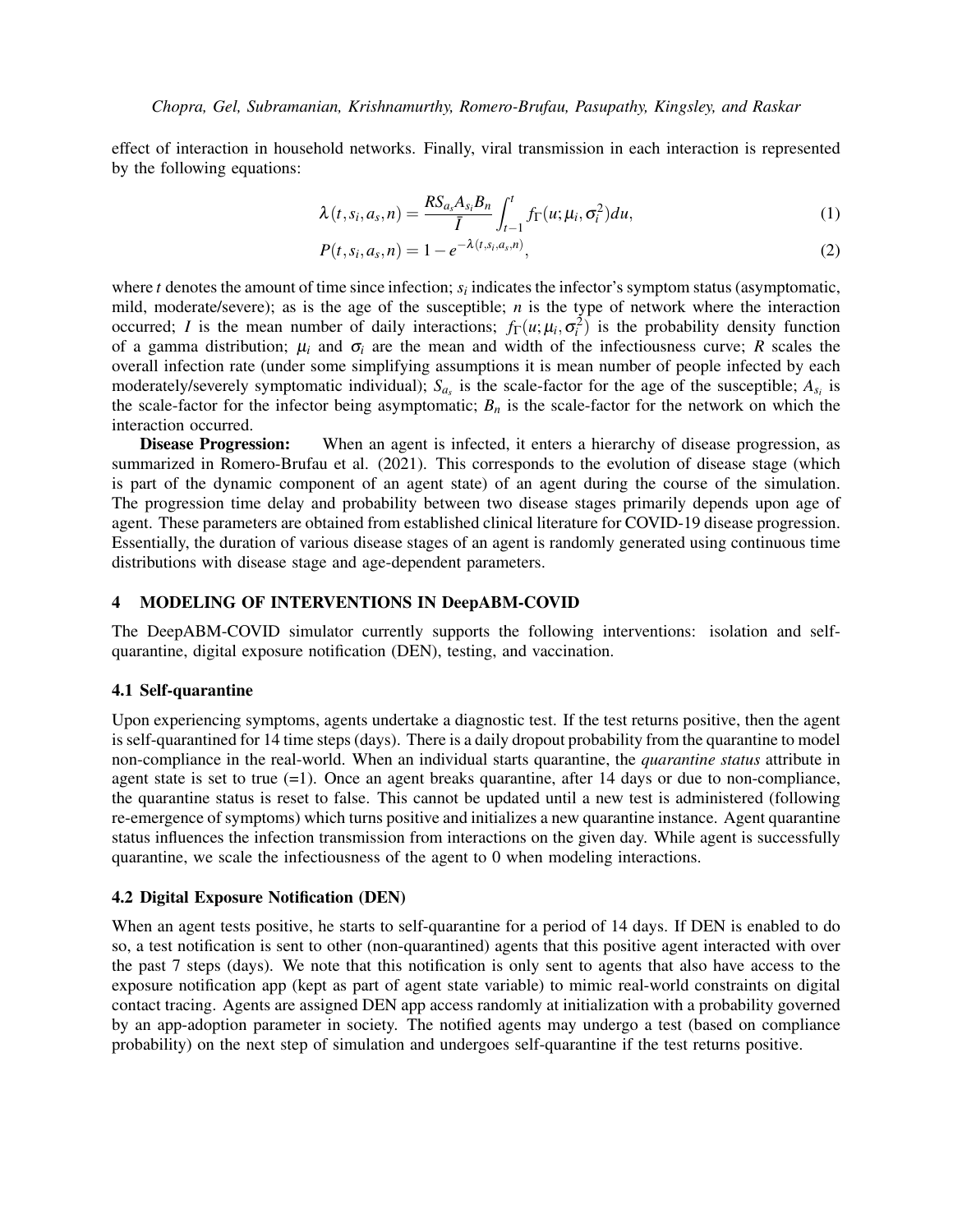effect of interaction in household networks. Finally, viral transmission in each interaction is represented by the following equations:

$$
\lambda(t, s_i, a_s, n) = \frac{RS_{a_s}A_{s_i}B_n}{\bar{I}} \int_{t-1}^t f_{\Gamma}(u; \mu_i, \sigma_i^2) du,
$$
\n(1)

$$
P(t, s_i, a_s, n) = 1 - e^{-\lambda(t, s_i, a_s, n)},
$$
\n(2)

where  $t$  denotes the amount of time since infection;  $s_i$  indicates the infector's symptom status (asymptomatic, mild, moderate/severe); as is the age of the susceptible; *n* is the type of network where the interaction occurred; *I* is the mean number of daily interactions;  $f_{\Gamma}(u; \mu_i, \sigma_i^2)$  is the probability density function of a gamma distribution;  $\mu_i$  and  $\sigma_i$  are the mean and width of the infectiousness curve; *R* scales the overall infection rate (under some simplifying assumptions it is mean number of people infected by each moderately/severely symptomatic individual);  $S_{a_s}$  is the scale-factor for the age of the susceptible;  $A_{s_i}$  is the scale-factor for the infector being asymptomatic;  $B<sub>n</sub>$  is the scale-factor for the network on which the interaction occurred.

Disease Progression: When an agent is infected, it enters a hierarchy of disease progression, as summarized in Romero-Brufau et al. (2021). This corresponds to the evolution of disease stage (which is part of the dynamic component of an agent state) of an agent during the course of the simulation. The progression time delay and probability between two disease stages primarily depends upon age of agent. These parameters are obtained from established clinical literature for COVID-19 disease progression. Essentially, the duration of various disease stages of an agent is randomly generated using continuous time distributions with disease stage and age-dependent parameters.

### 4 MODELING OF INTERVENTIONS IN DeepABM-COVID

The DeepABM-COVID simulator currently supports the following interventions: isolation and selfquarantine, digital exposure notification (DEN), testing, and vaccination.

#### 4.1 Self-quarantine

Upon experiencing symptoms, agents undertake a diagnostic test. If the test returns positive, then the agent is self-quarantined for 14 time steps (days). There is a daily dropout probability from the quarantine to model non-compliance in the real-world. When an individual starts quarantine, the *quarantine status* attribute in agent state is set to true  $(=1)$ . Once an agent breaks quarantine, after 14 days or due to non-compliance, the quarantine status is reset to false. This cannot be updated until a new test is administered (following re-emergence of symptoms) which turns positive and initializes a new quarantine instance. Agent quarantine status influences the infection transmission from interactions on the given day. While agent is successfully quarantine, we scale the infectiousness of the agent to 0 when modeling interactions.

## 4.2 Digital Exposure Notification (DEN)

When an agent tests positive, he starts to self-quarantine for a period of 14 days. If DEN is enabled to do so, a test notification is sent to other (non-quarantined) agents that this positive agent interacted with over the past 7 steps (days). We note that this notification is only sent to agents that also have access to the exposure notification app (kept as part of agent state variable) to mimic real-world constraints on digital contact tracing. Agents are assigned DEN app access randomly at initialization with a probability governed by an app-adoption parameter in society. The notified agents may undergo a test (based on compliance probability) on the next step of simulation and undergoes self-quarantine if the test returns positive.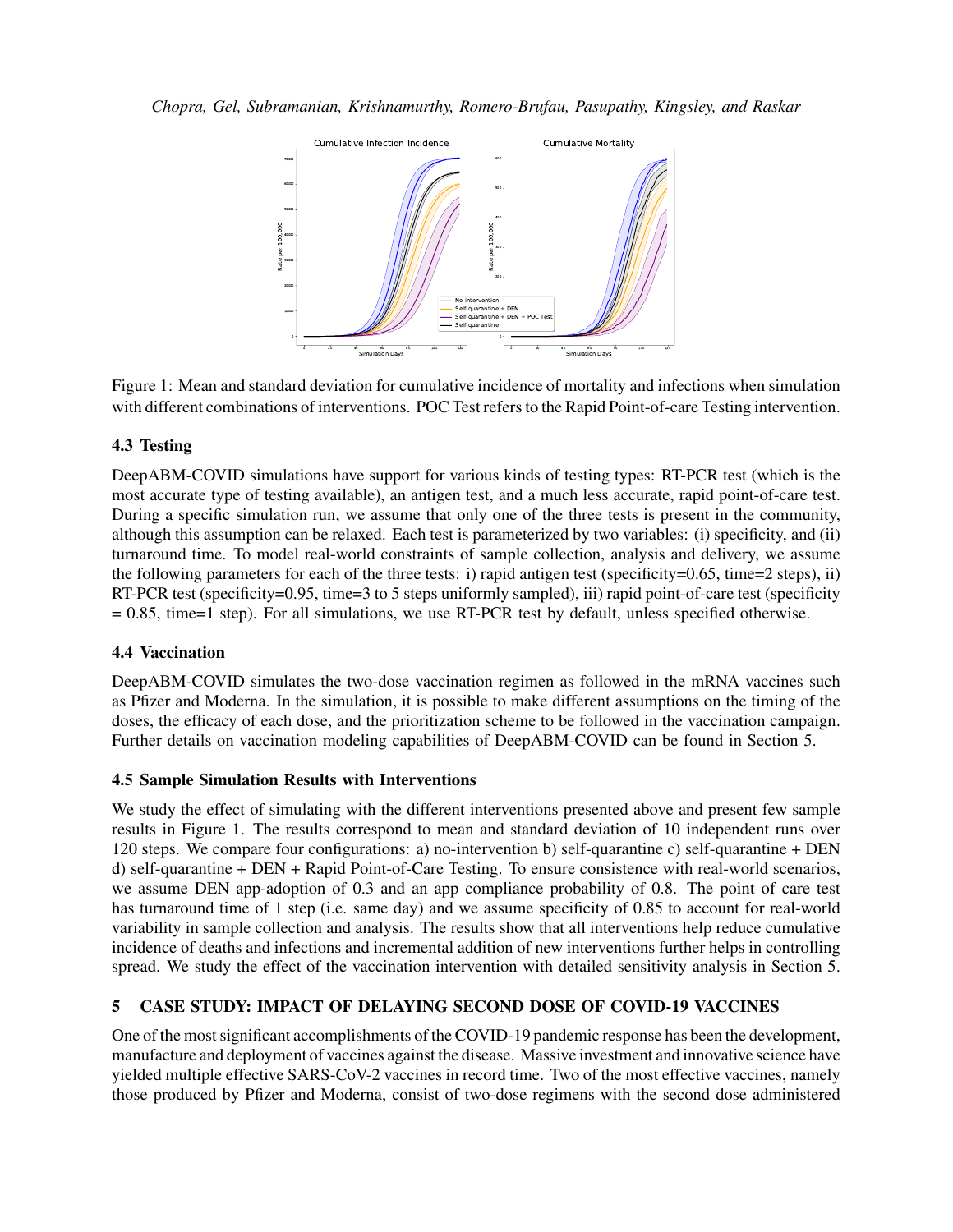

Figure 1: Mean and standard deviation for cumulative incidence of mortality and infections when simulation with different combinations of interventions. POC Test refers to the Rapid Point-of-care Testing intervention.

# 4.3 Testing

DeepABM-COVID simulations have support for various kinds of testing types: RT-PCR test (which is the most accurate type of testing available), an antigen test, and a much less accurate, rapid point-of-care test. During a specific simulation run, we assume that only one of the three tests is present in the community, although this assumption can be relaxed. Each test is parameterized by two variables: (i) specificity, and (ii) turnaround time. To model real-world constraints of sample collection, analysis and delivery, we assume the following parameters for each of the three tests: i) rapid antigen test (specificity=0.65, time=2 steps), ii) RT-PCR test (specificity=0.95, time=3 to 5 steps uniformly sampled), iii) rapid point-of-care test (specificity  $= 0.85$ , time=1 step). For all simulations, we use RT-PCR test by default, unless specified otherwise.

# 4.4 Vaccination

DeepABM-COVID simulates the two-dose vaccination regimen as followed in the mRNA vaccines such as Pfizer and Moderna. In the simulation, it is possible to make different assumptions on the timing of the doses, the efficacy of each dose, and the prioritization scheme to be followed in the vaccination campaign. Further details on vaccination modeling capabilities of DeepABM-COVID can be found in Section 5.

# 4.5 Sample Simulation Results with Interventions

We study the effect of simulating with the different interventions presented above and present few sample results in Figure 1. The results correspond to mean and standard deviation of 10 independent runs over 120 steps. We compare four configurations: a) no-intervention b) self-quarantine c) self-quarantine + DEN d) self-quarantine + DEN + Rapid Point-of-Care Testing. To ensure consistence with real-world scenarios, we assume DEN app-adoption of 0.3 and an app compliance probability of 0.8. The point of care test has turnaround time of 1 step (i.e. same day) and we assume specificity of 0.85 to account for real-world variability in sample collection and analysis. The results show that all interventions help reduce cumulative incidence of deaths and infections and incremental addition of new interventions further helps in controlling spread. We study the effect of the vaccination intervention with detailed sensitivity analysis in Section 5.

# 5 CASE STUDY: IMPACT OF DELAYING SECOND DOSE OF COVID-19 VACCINES

One of the most significant accomplishments of the COVID-19 pandemic response has been the development, manufacture and deployment of vaccines against the disease. Massive investment and innovative science have yielded multiple effective SARS-CoV-2 vaccines in record time. Two of the most effective vaccines, namely those produced by Pfizer and Moderna, consist of two-dose regimens with the second dose administered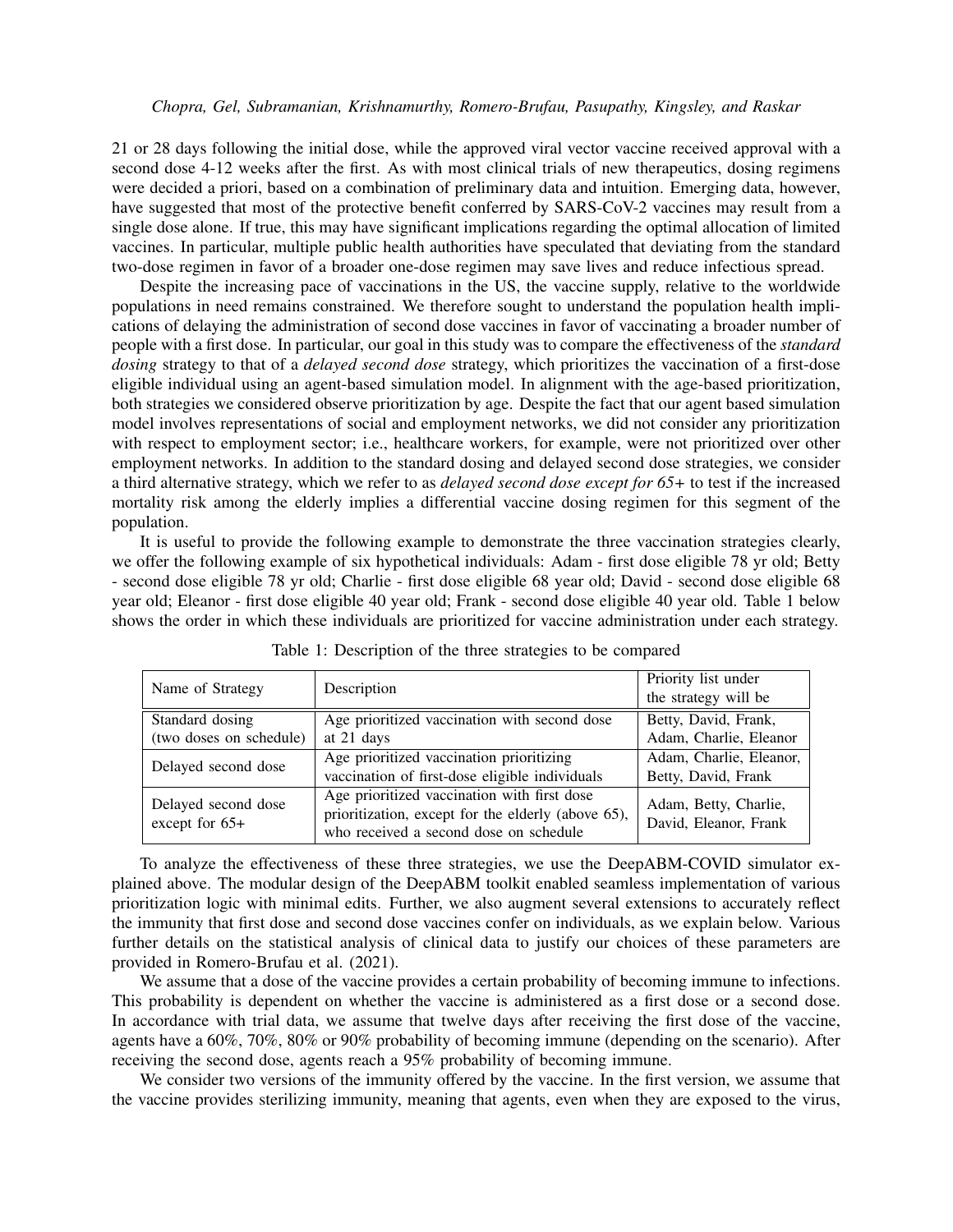21 or 28 days following the initial dose, while the approved viral vector vaccine received approval with a second dose 4-12 weeks after the first. As with most clinical trials of new therapeutics, dosing regimens were decided a priori, based on a combination of preliminary data and intuition. Emerging data, however, have suggested that most of the protective benefit conferred by SARS-CoV-2 vaccines may result from a single dose alone. If true, this may have significant implications regarding the optimal allocation of limited vaccines. In particular, multiple public health authorities have speculated that deviating from the standard two-dose regimen in favor of a broader one-dose regimen may save lives and reduce infectious spread.

Despite the increasing pace of vaccinations in the US, the vaccine supply, relative to the worldwide populations in need remains constrained. We therefore sought to understand the population health implications of delaying the administration of second dose vaccines in favor of vaccinating a broader number of people with a first dose. In particular, our goal in this study was to compare the effectiveness of the *standard dosing* strategy to that of a *delayed second dose* strategy, which prioritizes the vaccination of a first-dose eligible individual using an agent-based simulation model. In alignment with the age-based prioritization, both strategies we considered observe prioritization by age. Despite the fact that our agent based simulation model involves representations of social and employment networks, we did not consider any prioritization with respect to employment sector; i.e., healthcare workers, for example, were not prioritized over other employment networks. In addition to the standard dosing and delayed second dose strategies, we consider a third alternative strategy, which we refer to as *delayed second dose except for 65+* to test if the increased mortality risk among the elderly implies a differential vaccine dosing regimen for this segment of the population.

It is useful to provide the following example to demonstrate the three vaccination strategies clearly, we offer the following example of six hypothetical individuals: Adam - first dose eligible 78 yr old; Betty - second dose eligible 78 yr old; Charlie - first dose eligible 68 year old; David - second dose eligible 68 year old; Eleanor - first dose eligible 40 year old; Frank - second dose eligible 40 year old. Table 1 below shows the order in which these individuals are prioritized for vaccine administration under each strategy.

| Name of Strategy                        | Description                                                                                                                                 | Priority list under<br>the strategy will be    |
|-----------------------------------------|---------------------------------------------------------------------------------------------------------------------------------------------|------------------------------------------------|
| Standard dosing                         | Age prioritized vaccination with second dose                                                                                                | Betty, David, Frank,                           |
| (two doses on schedule)                 | at 21 days                                                                                                                                  | Adam, Charlie, Eleanor                         |
| Delayed second dose                     | Age prioritized vaccination prioritizing<br>vaccination of first-dose eligible individuals                                                  | Adam, Charlie, Eleanor,<br>Betty, David, Frank |
| Delayed second dose<br>except for $65+$ | Age prioritized vaccination with first dose<br>prioritization, except for the elderly (above 65),<br>who received a second dose on schedule | Adam, Betty, Charlie,<br>David, Eleanor, Frank |

Table 1: Description of the three strategies to be compared

To analyze the effectiveness of these three strategies, we use the DeepABM-COVID simulator explained above. The modular design of the DeepABM toolkit enabled seamless implementation of various prioritization logic with minimal edits. Further, we also augment several extensions to accurately reflect the immunity that first dose and second dose vaccines confer on individuals, as we explain below. Various further details on the statistical analysis of clinical data to justify our choices of these parameters are provided in Romero-Brufau et al. (2021).

We assume that a dose of the vaccine provides a certain probability of becoming immune to infections. This probability is dependent on whether the vaccine is administered as a first dose or a second dose. In accordance with trial data, we assume that twelve days after receiving the first dose of the vaccine, agents have a 60%, 70%, 80% or 90% probability of becoming immune (depending on the scenario). After receiving the second dose, agents reach a 95% probability of becoming immune.

We consider two versions of the immunity offered by the vaccine. In the first version, we assume that the vaccine provides sterilizing immunity, meaning that agents, even when they are exposed to the virus,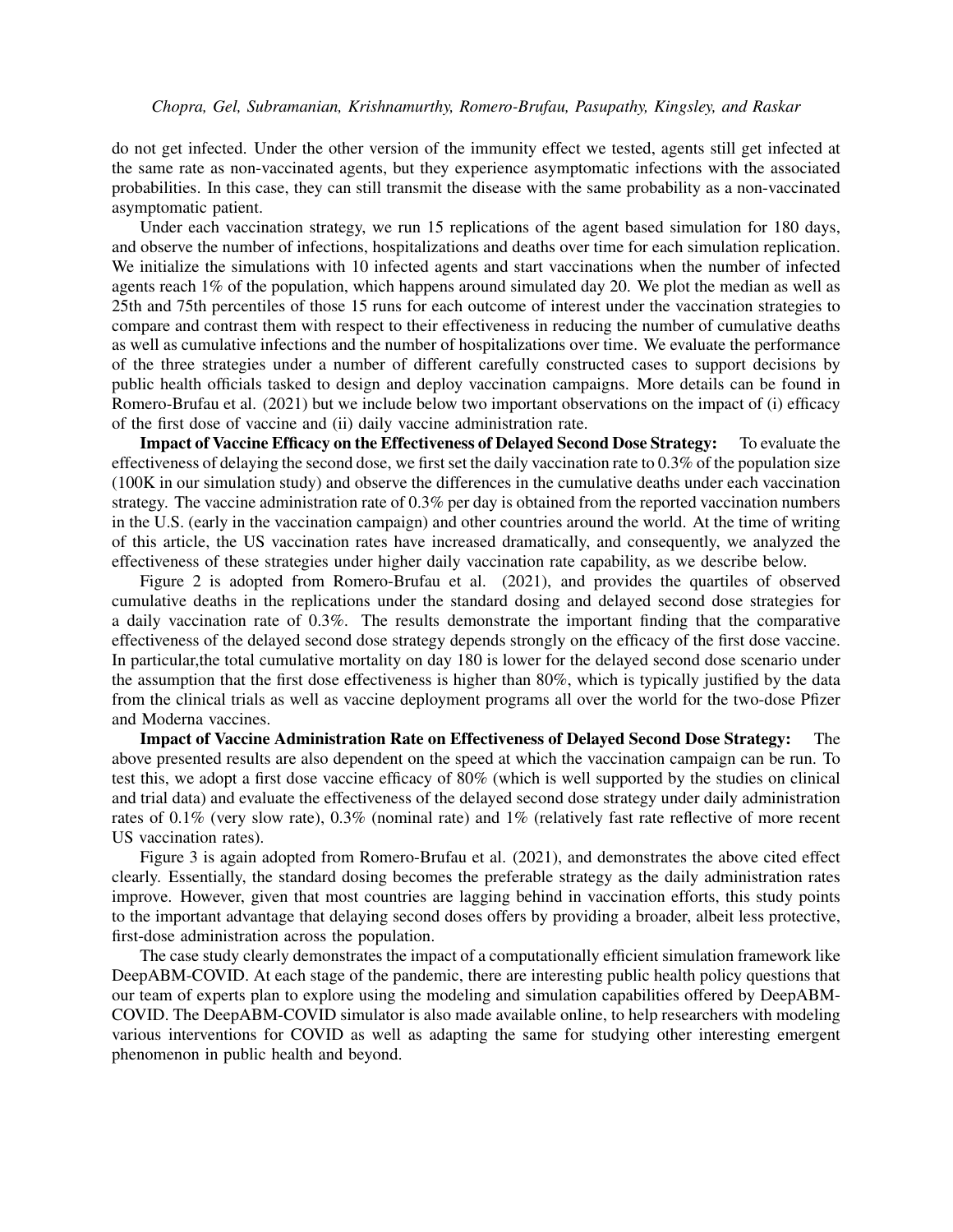do not get infected. Under the other version of the immunity effect we tested, agents still get infected at the same rate as non-vaccinated agents, but they experience asymptomatic infections with the associated probabilities. In this case, they can still transmit the disease with the same probability as a non-vaccinated asymptomatic patient.

Under each vaccination strategy, we run 15 replications of the agent based simulation for 180 days, and observe the number of infections, hospitalizations and deaths over time for each simulation replication. We initialize the simulations with 10 infected agents and start vaccinations when the number of infected agents reach 1% of the population, which happens around simulated day 20. We plot the median as well as 25th and 75th percentiles of those 15 runs for each outcome of interest under the vaccination strategies to compare and contrast them with respect to their effectiveness in reducing the number of cumulative deaths as well as cumulative infections and the number of hospitalizations over time. We evaluate the performance of the three strategies under a number of different carefully constructed cases to support decisions by public health officials tasked to design and deploy vaccination campaigns. More details can be found in Romero-Brufau et al. (2021) but we include below two important observations on the impact of (i) efficacy of the first dose of vaccine and (ii) daily vaccine administration rate.

Impact of Vaccine Efficacy on the Effectiveness of Delayed Second Dose Strategy: To evaluate the effectiveness of delaying the second dose, we first set the daily vaccination rate to 0.3% of the population size (100K in our simulation study) and observe the differences in the cumulative deaths under each vaccination strategy. The vaccine administration rate of 0.3% per day is obtained from the reported vaccination numbers in the U.S. (early in the vaccination campaign) and other countries around the world. At the time of writing of this article, the US vaccination rates have increased dramatically, and consequently, we analyzed the effectiveness of these strategies under higher daily vaccination rate capability, as we describe below.

Figure 2 is adopted from Romero-Brufau et al. (2021), and provides the quartiles of observed cumulative deaths in the replications under the standard dosing and delayed second dose strategies for a daily vaccination rate of 0.3%. The results demonstrate the important finding that the comparative effectiveness of the delayed second dose strategy depends strongly on the efficacy of the first dose vaccine. In particular,the total cumulative mortality on day 180 is lower for the delayed second dose scenario under the assumption that the first dose effectiveness is higher than 80%, which is typically justified by the data from the clinical trials as well as vaccine deployment programs all over the world for the two-dose Pfizer and Moderna vaccines.

Impact of Vaccine Administration Rate on Effectiveness of Delayed Second Dose Strategy: The above presented results are also dependent on the speed at which the vaccination campaign can be run. To test this, we adopt a first dose vaccine efficacy of 80% (which is well supported by the studies on clinical and trial data) and evaluate the effectiveness of the delayed second dose strategy under daily administration rates of 0.1% (very slow rate), 0.3% (nominal rate) and 1% (relatively fast rate reflective of more recent US vaccination rates).

Figure 3 is again adopted from Romero-Brufau et al. (2021), and demonstrates the above cited effect clearly. Essentially, the standard dosing becomes the preferable strategy as the daily administration rates improve. However, given that most countries are lagging behind in vaccination efforts, this study points to the important advantage that delaying second doses offers by providing a broader, albeit less protective, first-dose administration across the population.

The case study clearly demonstrates the impact of a computationally efficient simulation framework like DeepABM-COVID. At each stage of the pandemic, there are interesting public health policy questions that our team of experts plan to explore using the modeling and simulation capabilities offered by DeepABM-COVID. The DeepABM-COVID simulator is also made available online, to help researchers with modeling various interventions for COVID as well as adapting the same for studying other interesting emergent phenomenon in public health and beyond.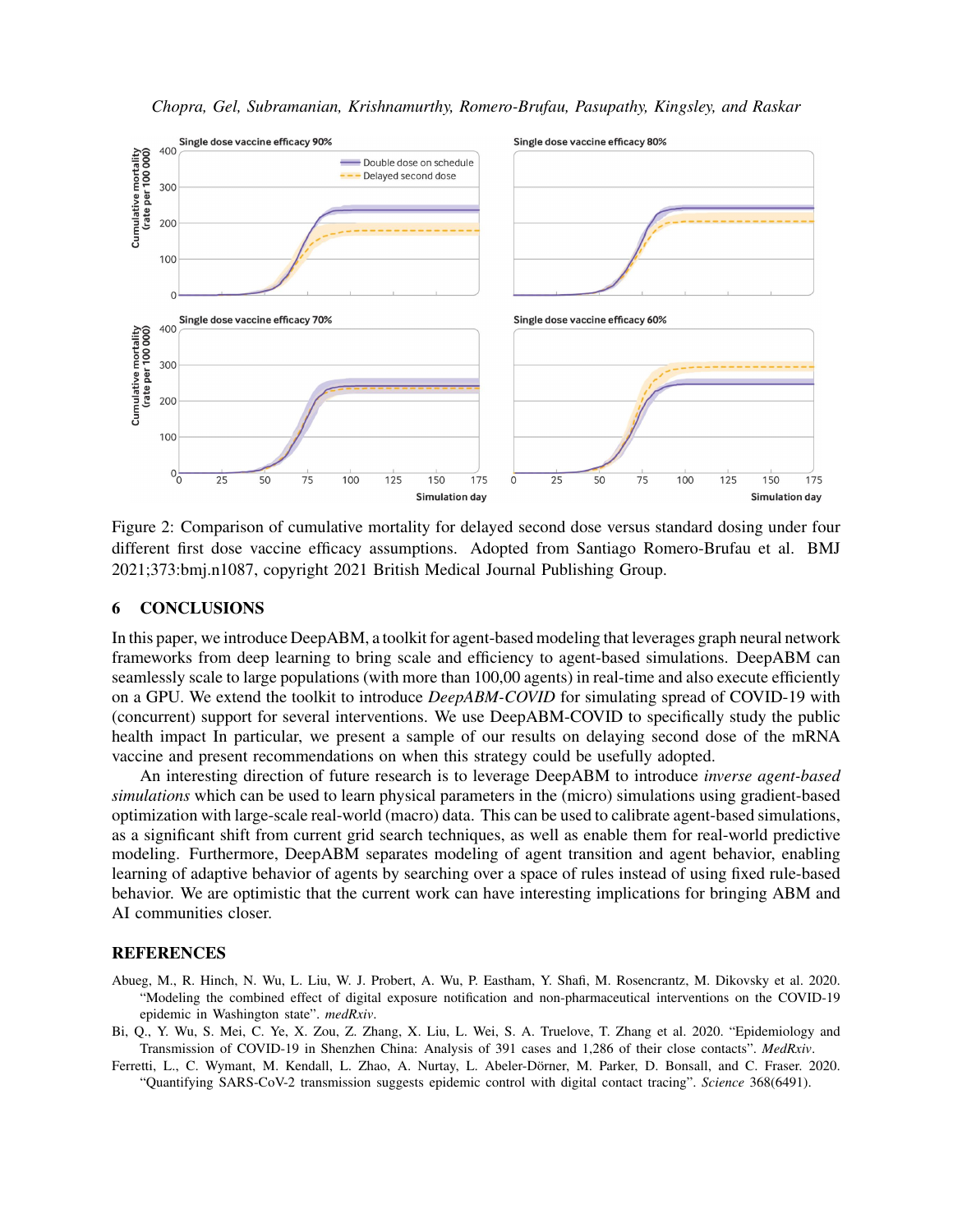



Figure 2: Comparison of cumulative mortality for delayed second dose versus standard dosing under four different first dose vaccine efficacy assumptions. Adopted from Santiago Romero-Brufau et al. BMJ 2021;373:bmj.n1087, copyright 2021 British Medical Journal Publishing Group.

## 6 CONCLUSIONS

In this paper, we introduce DeepABM, a toolkit for agent-based modeling that leverages graph neural network frameworks from deep learning to bring scale and efficiency to agent-based simulations. DeepABM can seamlessly scale to large populations (with more than 100,00 agents) in real-time and also execute efficiently on a GPU. We extend the toolkit to introduce *DeepABM-COVID* for simulating spread of COVID-19 with (concurrent) support for several interventions. We use DeepABM-COVID to specifically study the public health impact In particular, we present a sample of our results on delaying second dose of the mRNA vaccine and present recommendations on when this strategy could be usefully adopted.

An interesting direction of future research is to leverage DeepABM to introduce *inverse agent-based simulations* which can be used to learn physical parameters in the (micro) simulations using gradient-based optimization with large-scale real-world (macro) data. This can be used to calibrate agent-based simulations, as a significant shift from current grid search techniques, as well as enable them for real-world predictive modeling. Furthermore, DeepABM separates modeling of agent transition and agent behavior, enabling learning of adaptive behavior of agents by searching over a space of rules instead of using fixed rule-based behavior. We are optimistic that the current work can have interesting implications for bringing ABM and AI communities closer.

## **REFERENCES**

- Abueg, M., R. Hinch, N. Wu, L. Liu, W. J. Probert, A. Wu, P. Eastham, Y. Shafi, M. Rosencrantz, M. Dikovsky et al. 2020. "Modeling the combined effect of digital exposure notification and non-pharmaceutical interventions on the COVID-19 epidemic in Washington state". *medRxiv*.
- Bi, Q., Y. Wu, S. Mei, C. Ye, X. Zou, Z. Zhang, X. Liu, L. Wei, S. A. Truelove, T. Zhang et al. 2020. "Epidemiology and Transmission of COVID-19 in Shenzhen China: Analysis of 391 cases and 1,286 of their close contacts". *MedRxiv*.
- Ferretti, L., C. Wymant, M. Kendall, L. Zhao, A. Nurtay, L. Abeler-Dörner, M. Parker, D. Bonsall, and C. Fraser. 2020. "Quantifying SARS-CoV-2 transmission suggests epidemic control with digital contact tracing". *Science* 368(6491).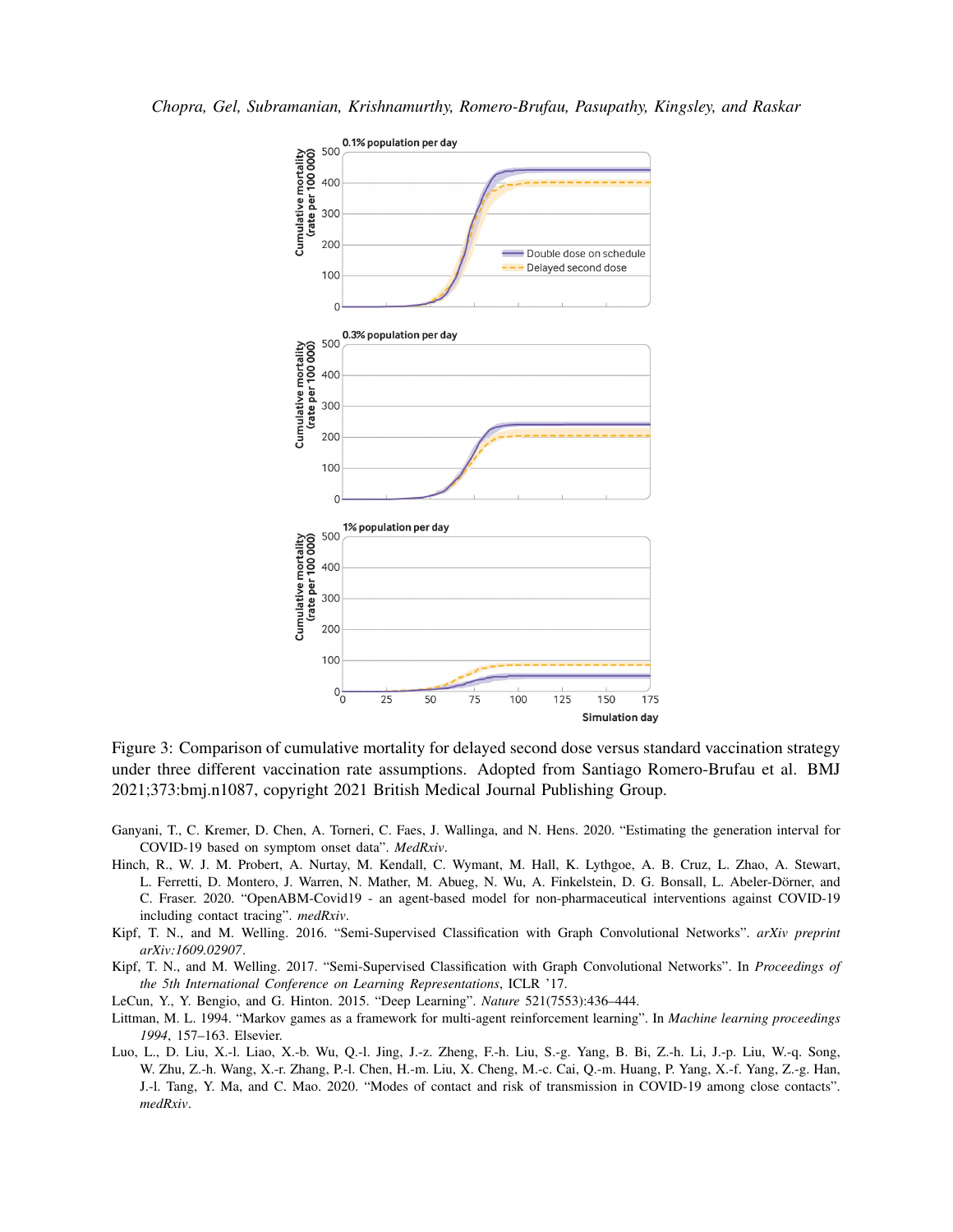*Chopra, Gel, Subramanian, Krishnamurthy, Romero-Brufau, Pasupathy, Kingsley, and Raskar*



Figure 3: Comparison of cumulative mortality for delayed second dose versus standard vaccination strategy under three different vaccination rate assumptions. Adopted from Santiago Romero-Brufau et al. BMJ 2021;373:bmj.n1087, copyright 2021 British Medical Journal Publishing Group.

- Ganyani, T., C. Kremer, D. Chen, A. Torneri, C. Faes, J. Wallinga, and N. Hens. 2020. "Estimating the generation interval for COVID-19 based on symptom onset data". *MedRxiv*.
- Hinch, R., W. J. M. Probert, A. Nurtay, M. Kendall, C. Wymant, M. Hall, K. Lythgoe, A. B. Cruz, L. Zhao, A. Stewart, L. Ferretti, D. Montero, J. Warren, N. Mather, M. Abueg, N. Wu, A. Finkelstein, D. G. Bonsall, L. Abeler-Dörner, and C. Fraser. 2020. "OpenABM-Covid19 - an agent-based model for non-pharmaceutical interventions against COVID-19 including contact tracing". *medRxiv*.
- Kipf, T. N., and M. Welling. 2016. "Semi-Supervised Classification with Graph Convolutional Networks". *arXiv preprint arXiv:1609.02907*.
- Kipf, T. N., and M. Welling. 2017. "Semi-Supervised Classification with Graph Convolutional Networks". In *Proceedings of the 5th International Conference on Learning Representations*, ICLR '17.
- LeCun, Y., Y. Bengio, and G. Hinton. 2015. "Deep Learning". *Nature* 521(7553):436–444.
- Littman, M. L. 1994. "Markov games as a framework for multi-agent reinforcement learning". In *Machine learning proceedings 1994*, 157–163. Elsevier.
- Luo, L., D. Liu, X.-l. Liao, X.-b. Wu, Q.-l. Jing, J.-z. Zheng, F.-h. Liu, S.-g. Yang, B. Bi, Z.-h. Li, J.-p. Liu, W.-q. Song, W. Zhu, Z.-h. Wang, X.-r. Zhang, P.-l. Chen, H.-m. Liu, X. Cheng, M.-c. Cai, Q.-m. Huang, P. Yang, X.-f. Yang, Z.-g. Han, J.-l. Tang, Y. Ma, and C. Mao. 2020. "Modes of contact and risk of transmission in COVID-19 among close contacts". *medRxiv*.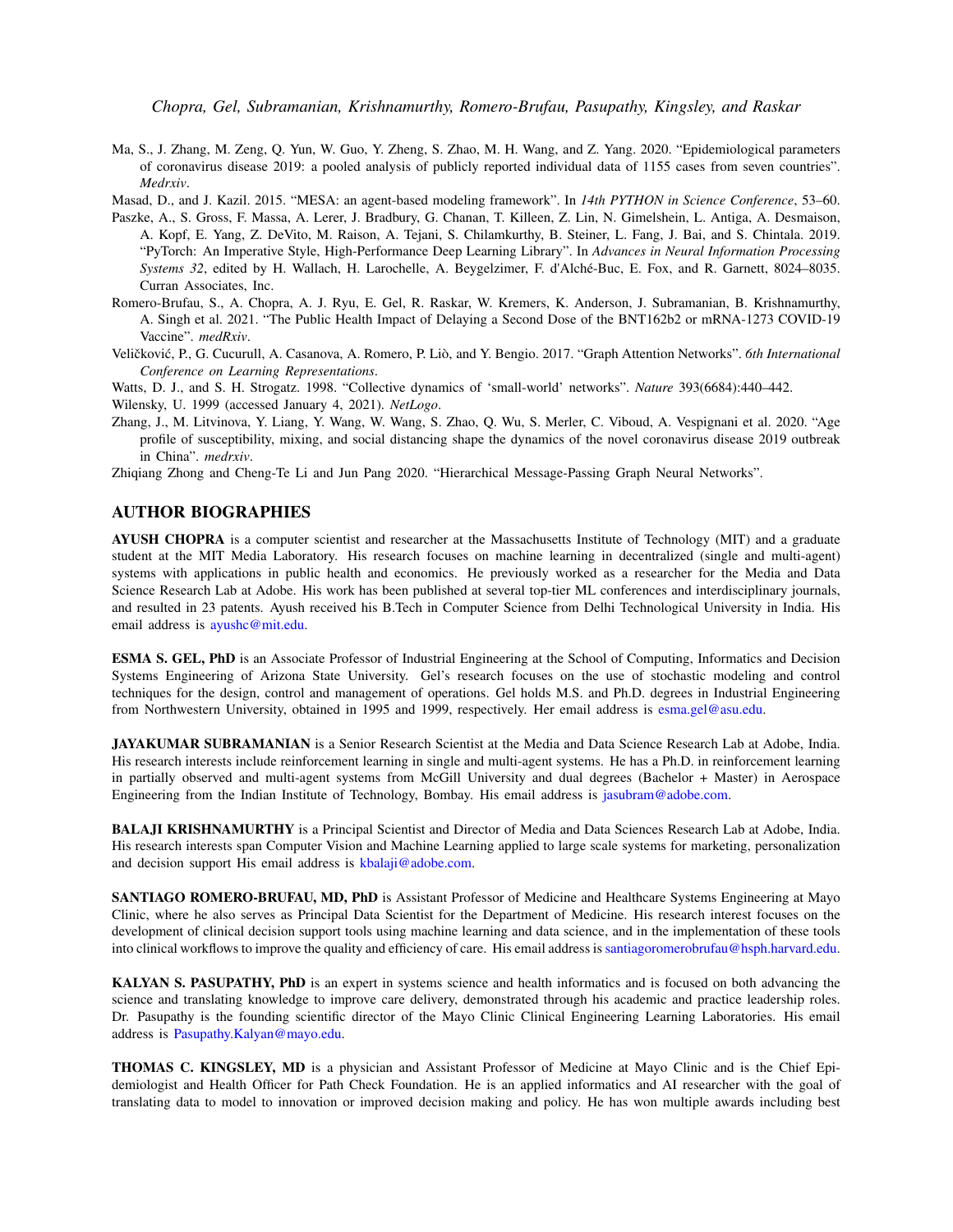Ma, S., J. Zhang, M. Zeng, Q. Yun, W. Guo, Y. Zheng, S. Zhao, M. H. Wang, and Z. Yang. 2020. "Epidemiological parameters of coronavirus disease 2019: a pooled analysis of publicly reported individual data of 1155 cases from seven countries". *Medrxiv*.

Masad, D., and J. Kazil. 2015. "MESA: an agent-based modeling framework". In *14th PYTHON in Science Conference*, 53–60.

- Paszke, A., S. Gross, F. Massa, A. Lerer, J. Bradbury, G. Chanan, T. Killeen, Z. Lin, N. Gimelshein, L. Antiga, A. Desmaison, A. Kopf, E. Yang, Z. DeVito, M. Raison, A. Tejani, S. Chilamkurthy, B. Steiner, L. Fang, J. Bai, and S. Chintala. 2019. "PyTorch: An Imperative Style, High-Performance Deep Learning Library". In *Advances in Neural Information Processing Systems 32*, edited by H. Wallach, H. Larochelle, A. Beygelzimer, F. d'Alche-Buc, E. Fox, and R. Garnett, 8024–8035. ´ Curran Associates, Inc.
- Romero-Brufau, S., A. Chopra, A. J. Ryu, E. Gel, R. Raskar, W. Kremers, K. Anderson, J. Subramanian, B. Krishnamurthy, A. Singh et al. 2021. "The Public Health Impact of Delaying a Second Dose of the BNT162b2 or mRNA-1273 COVID-19 Vaccine". *medRxiv*.
- Veličković, P., G. Cucurull, A. Casanova, A. Romero, P. Liò, and Y. Bengio. 2017. "Graph Attention Networks". *6th International Conference on Learning Representations*.

Watts, D. J., and S. H. Strogatz. 1998. "Collective dynamics of 'small-world' networks". *Nature* 393(6684):440–442.

Wilensky, U. 1999 (accessed January 4, 2021). *NetLogo*.

Zhang, J., M. Litvinova, Y. Liang, Y. Wang, W. Wang, S. Zhao, Q. Wu, S. Merler, C. Viboud, A. Vespignani et al. 2020. "Age profile of susceptibility, mixing, and social distancing shape the dynamics of the novel coronavirus disease 2019 outbreak in China". *medrxiv*.

Zhiqiang Zhong and Cheng-Te Li and Jun Pang 2020. "Hierarchical Message-Passing Graph Neural Networks".

### AUTHOR BIOGRAPHIES

AYUSH CHOPRA is a computer scientist and researcher at the Massachusetts Institute of Technology (MIT) and a graduate student at the MIT Media Laboratory. His research focuses on machine learning in decentralized (single and multi-agent) systems with applications in public health and economics. He previously worked as a researcher for the Media and Data Science Research Lab at Adobe. His work has been published at several top-tier ML conferences and interdisciplinary journals, and resulted in 23 patents. Ayush received his B.Tech in Computer Science from Delhi Technological University in India. His email address is ayushc@mit.edu.

ESMA S. GEL, PhD is an Associate Professor of Industrial Engineering at the School of Computing, Informatics and Decision Systems Engineering of Arizona State University. Gel's research focuses on the use of stochastic modeling and control techniques for the design, control and management of operations. Gel holds M.S. and Ph.D. degrees in Industrial Engineering from Northwestern University, obtained in 1995 and 1999, respectively. Her email address is esma.gel@asu.edu.

JAYAKUMAR SUBRAMANIAN is a Senior Research Scientist at the Media and Data Science Research Lab at Adobe, India. His research interests include reinforcement learning in single and multi-agent systems. He has a Ph.D. in reinforcement learning in partially observed and multi-agent systems from McGill University and dual degrees (Bachelor + Master) in Aerospace Engineering from the Indian Institute of Technology, Bombay. His email address is jasubram@adobe.com.

BALAJI KRISHNAMURTHY is a Principal Scientist and Director of Media and Data Sciences Research Lab at Adobe, India. His research interests span Computer Vision and Machine Learning applied to large scale systems for marketing, personalization and decision support His email address is kbalaji@adobe.com.

SANTIAGO ROMERO-BRUFAU, MD, PhD is Assistant Professor of Medicine and Healthcare Systems Engineering at Mayo Clinic, where he also serves as Principal Data Scientist for the Department of Medicine. His research interest focuses on the development of clinical decision support tools using machine learning and data science, and in the implementation of these tools into clinical workflows to improve the quality and efficiency of care. His email address is santiagoromerobrufau@hsph.harvard.edu.

KALYAN S. PASUPATHY, PhD is an expert in systems science and health informatics and is focused on both advancing the science and translating knowledge to improve care delivery, demonstrated through his academic and practice leadership roles. Dr. Pasupathy is the founding scientific director of the Mayo Clinic Clinical Engineering Learning Laboratories. His email address is Pasupathy.Kalyan@mayo.edu.

THOMAS C. KINGSLEY, MD is a physician and Assistant Professor of Medicine at Mayo Clinic and is the Chief Epidemiologist and Health Officer for Path Check Foundation. He is an applied informatics and AI researcher with the goal of translating data to model to innovation or improved decision making and policy. He has won multiple awards including best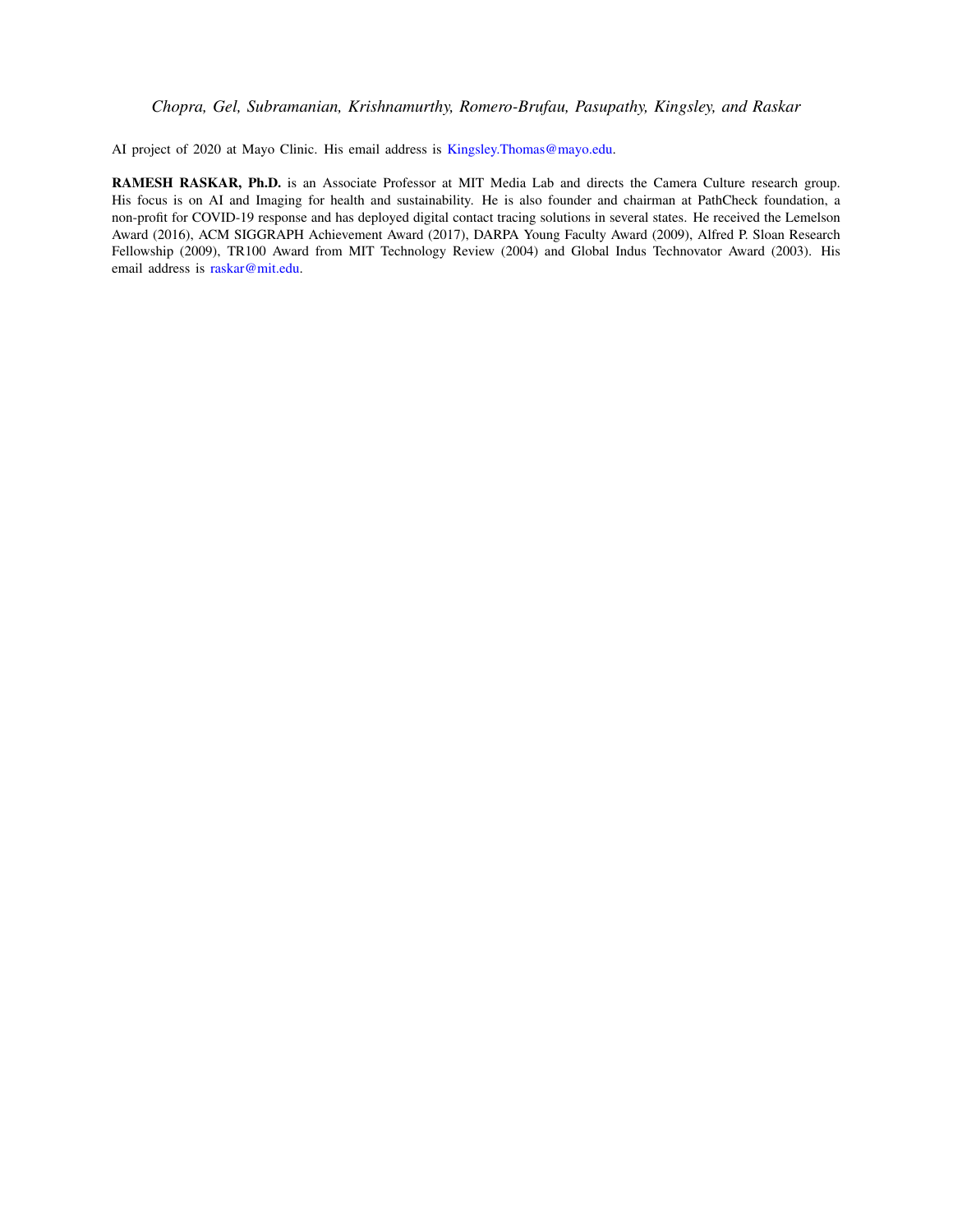AI project of 2020 at Mayo Clinic. His email address is Kingsley.Thomas@mayo.edu.

RAMESH RASKAR, Ph.D. is an Associate Professor at MIT Media Lab and directs the Camera Culture research group. His focus is on AI and Imaging for health and sustainability. He is also founder and chairman at PathCheck foundation, a non-profit for COVID-19 response and has deployed digital contact tracing solutions in several states. He received the Lemelson Award (2016), ACM SIGGRAPH Achievement Award (2017), DARPA Young Faculty Award (2009), Alfred P. Sloan Research Fellowship (2009), TR100 Award from MIT Technology Review (2004) and Global Indus Technovator Award (2003). His email address is raskar@mit.edu.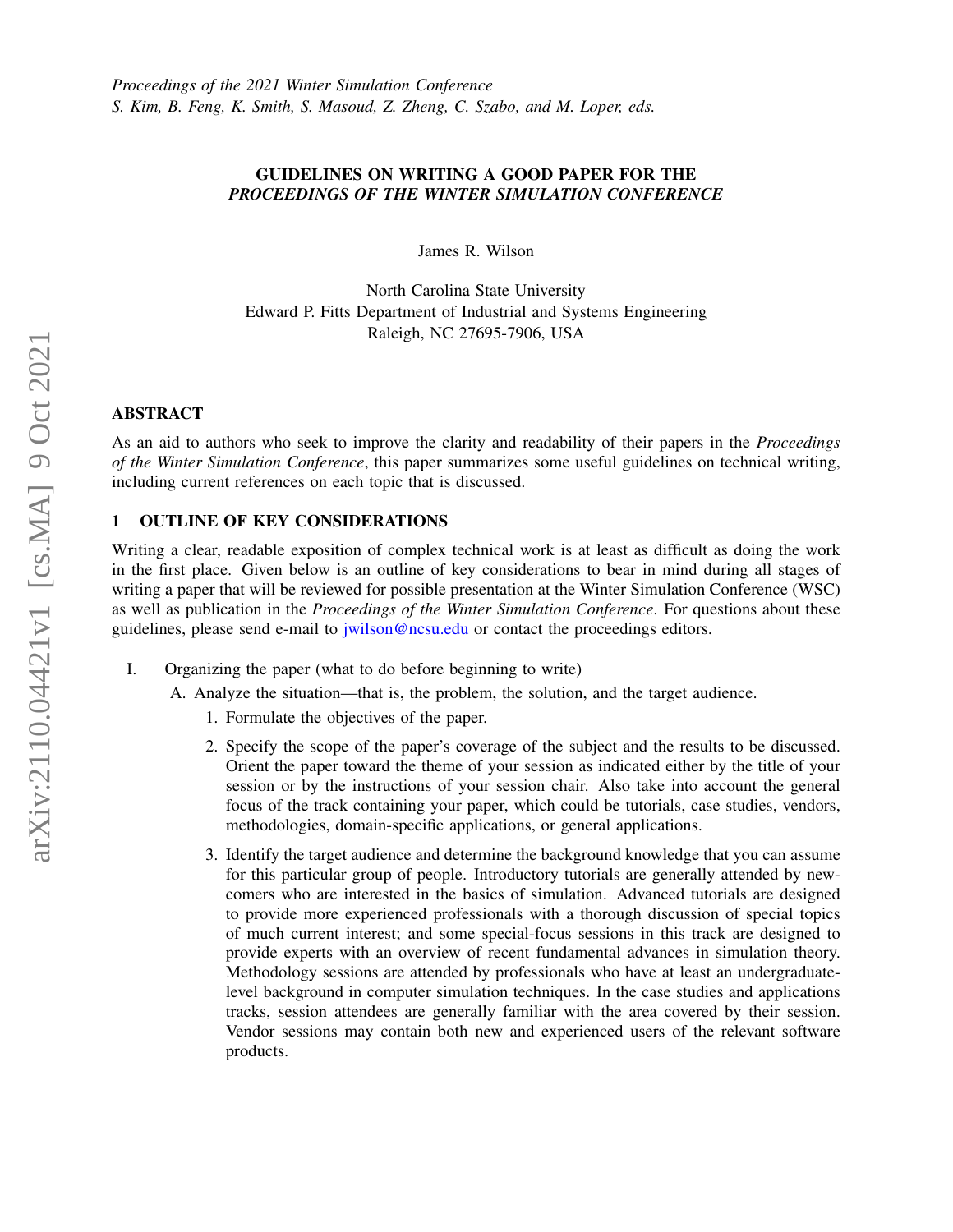# GUIDELINES ON WRITING A GOOD PAPER FOR THE *PROCEEDINGS OF THE WINTER SIMULATION CONFERENCE*

James R. Wilson

North Carolina State University Edward P. Fitts Department of Industrial and Systems Engineering Raleigh, NC 27695-7906, USA

## ABSTRACT

As an aid to authors who seek to improve the clarity and readability of their papers in the *Proceedings of the Winter Simulation Conference*, this paper summarizes some useful guidelines on technical writing, including current references on each topic that is discussed.

# 1 OUTLINE OF KEY CONSIDERATIONS

Writing a clear, readable exposition of complex technical work is at least as difficult as doing the work in the first place. Given below is an outline of key considerations to bear in mind during all stages of writing a paper that will be reviewed for possible presentation at the Winter Simulation Conference (WSC) as well as publication in the *Proceedings of the Winter Simulation Conference*. For questions about these guidelines, please send e-mail to jwilson@ncsu.edu or contact the proceedings editors.

I. Organizing the paper (what to do before beginning to write)

A. Analyze the situation—that is, the problem, the solution, and the target audience.

- 1. Formulate the objectives of the paper.
- 2. Specify the scope of the paper's coverage of the subject and the results to be discussed. Orient the paper toward the theme of your session as indicated either by the title of your session or by the instructions of your session chair. Also take into account the general focus of the track containing your paper, which could be tutorials, case studies, vendors, methodologies, domain-specific applications, or general applications.
- 3. Identify the target audience and determine the background knowledge that you can assume for this particular group of people. Introductory tutorials are generally attended by newcomers who are interested in the basics of simulation. Advanced tutorials are designed to provide more experienced professionals with a thorough discussion of special topics of much current interest; and some special-focus sessions in this track are designed to provide experts with an overview of recent fundamental advances in simulation theory. Methodology sessions are attended by professionals who have at least an undergraduatelevel background in computer simulation techniques. In the case studies and applications tracks, session attendees are generally familiar with the area covered by their session. Vendor sessions may contain both new and experienced users of the relevant software products.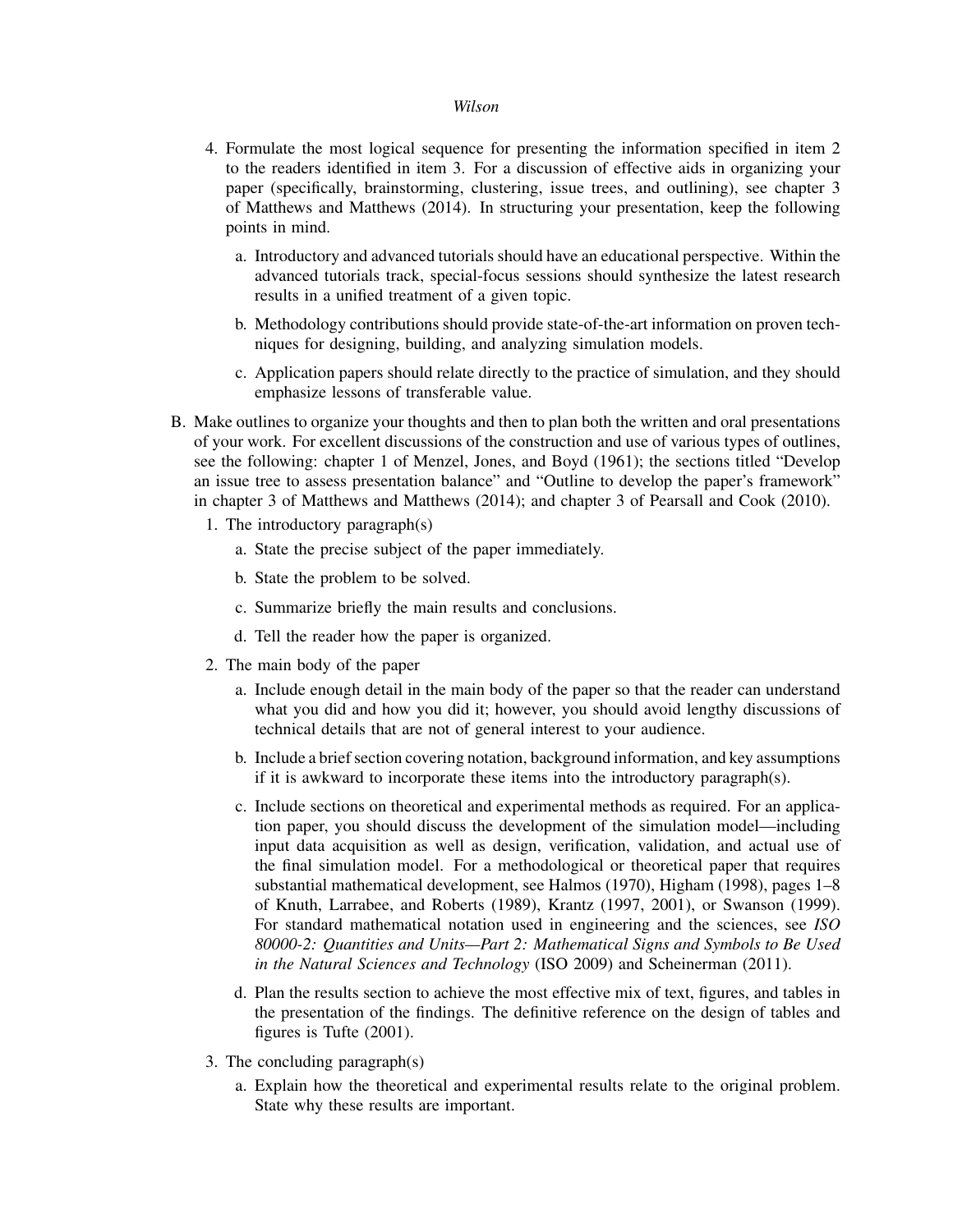- 4. Formulate the most logical sequence for presenting the information specified in item 2 to the readers identified in item 3. For a discussion of effective aids in organizing your paper (specifically, brainstorming, clustering, issue trees, and outlining), see chapter 3 of Matthews and Matthews (2014). In structuring your presentation, keep the following points in mind.
	- a. Introductory and advanced tutorials should have an educational perspective. Within the advanced tutorials track, special-focus sessions should synthesize the latest research results in a unified treatment of a given topic.
	- b. Methodology contributions should provide state-of-the-art information on proven techniques for designing, building, and analyzing simulation models.
	- c. Application papers should relate directly to the practice of simulation, and they should emphasize lessons of transferable value.
- B. Make outlines to organize your thoughts and then to plan both the written and oral presentations of your work. For excellent discussions of the construction and use of various types of outlines, see the following: chapter 1 of Menzel, Jones, and Boyd (1961); the sections titled "Develop an issue tree to assess presentation balance" and "Outline to develop the paper's framework" in chapter 3 of Matthews and Matthews (2014); and chapter 3 of Pearsall and Cook (2010).
	- 1. The introductory paragraph(s)
		- a. State the precise subject of the paper immediately.
		- b. State the problem to be solved.
		- c. Summarize briefly the main results and conclusions.
		- d. Tell the reader how the paper is organized.
	- 2. The main body of the paper
		- a. Include enough detail in the main body of the paper so that the reader can understand what you did and how you did it; however, you should avoid lengthy discussions of technical details that are not of general interest to your audience.
		- b. Include a brief section covering notation, background information, and key assumptions if it is awkward to incorporate these items into the introductory paragraph(s).
		- c. Include sections on theoretical and experimental methods as required. For an application paper, you should discuss the development of the simulation model—including input data acquisition as well as design, verification, validation, and actual use of the final simulation model. For a methodological or theoretical paper that requires substantial mathematical development, see Halmos (1970), Higham (1998), pages 1–8 of Knuth, Larrabee, and Roberts (1989), Krantz (1997, 2001), or Swanson (1999). For standard mathematical notation used in engineering and the sciences, see *ISO 80000-2: Quantities and Units—Part 2: Mathematical Signs and Symbols to Be Used in the Natural Sciences and Technology* (ISO 2009) and Scheinerman (2011).
		- d. Plan the results section to achieve the most effective mix of text, figures, and tables in the presentation of the findings. The definitive reference on the design of tables and figures is Tufte (2001).
	- 3. The concluding paragraph(s)
		- a. Explain how the theoretical and experimental results relate to the original problem. State why these results are important.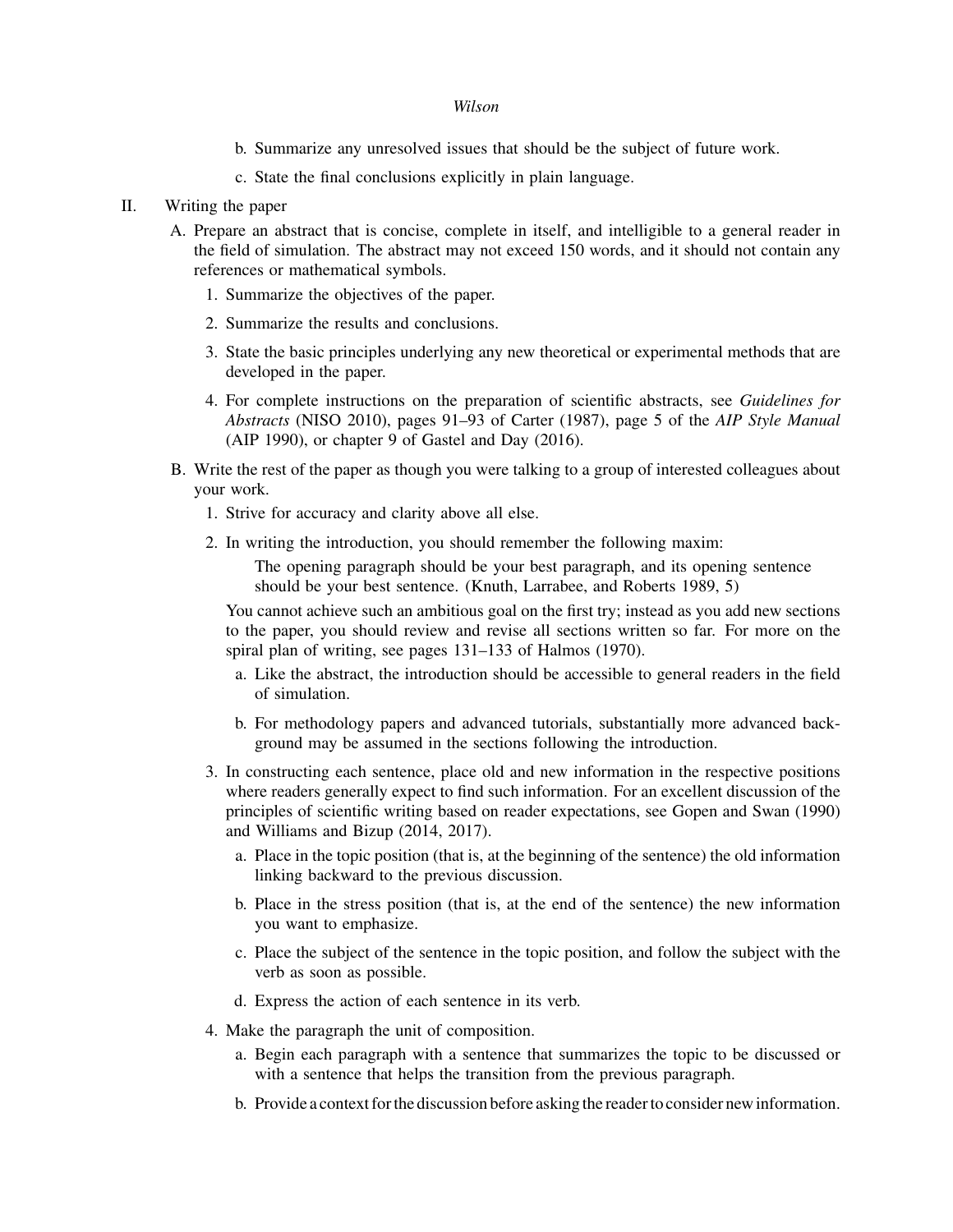- b. Summarize any unresolved issues that should be the subject of future work.
- c. State the final conclusions explicitly in plain language.

## II. Writing the paper

- A. Prepare an abstract that is concise, complete in itself, and intelligible to a general reader in the field of simulation. The abstract may not exceed 150 words, and it should not contain any references or mathematical symbols.
	- 1. Summarize the objectives of the paper.
	- 2. Summarize the results and conclusions.
	- 3. State the basic principles underlying any new theoretical or experimental methods that are developed in the paper.
	- 4. For complete instructions on the preparation of scientific abstracts, see *Guidelines for Abstracts* (NISO 2010), pages 91–93 of Carter (1987), page 5 of the *AIP Style Manual* (AIP 1990), or chapter 9 of Gastel and Day (2016).
- B. Write the rest of the paper as though you were talking to a group of interested colleagues about your work.
	- 1. Strive for accuracy and clarity above all else.
	- 2. In writing the introduction, you should remember the following maxim:

The opening paragraph should be your best paragraph, and its opening sentence should be your best sentence. (Knuth, Larrabee, and Roberts 1989, 5)

You cannot achieve such an ambitious goal on the first try; instead as you add new sections to the paper, you should review and revise all sections written so far. For more on the spiral plan of writing, see pages 131–133 of Halmos (1970).

- a. Like the abstract, the introduction should be accessible to general readers in the field of simulation.
- b. For methodology papers and advanced tutorials, substantially more advanced background may be assumed in the sections following the introduction.
- 3. In constructing each sentence, place old and new information in the respective positions where readers generally expect to find such information. For an excellent discussion of the principles of scientific writing based on reader expectations, see Gopen and Swan (1990) and Williams and Bizup (2014, 2017).
	- a. Place in the topic position (that is, at the beginning of the sentence) the old information linking backward to the previous discussion.
	- b. Place in the stress position (that is, at the end of the sentence) the new information you want to emphasize.
	- c. Place the subject of the sentence in the topic position, and follow the subject with the verb as soon as possible.
	- d. Express the action of each sentence in its verb.
- 4. Make the paragraph the unit of composition.
	- a. Begin each paragraph with a sentence that summarizes the topic to be discussed or with a sentence that helps the transition from the previous paragraph.
	- b. Provide a context for the discussion before asking the reader to consider new information.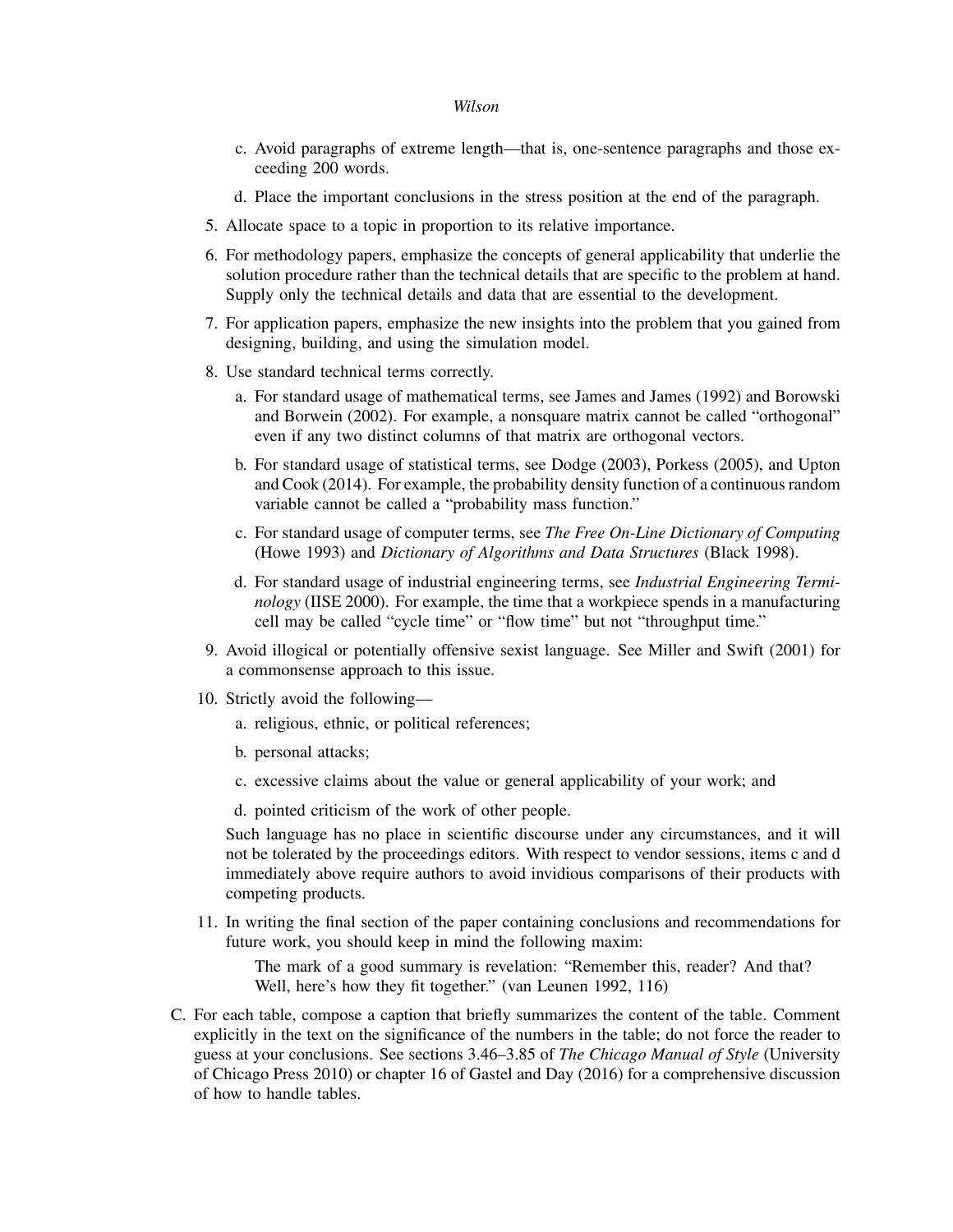- c. Avoid paragraphs of extreme length—that is, one-sentence paragraphs and those exceeding 200 words.
- d. Place the important conclusions in the stress position at the end of the paragraph.
- 5. Allocate space to a topic in proportion to its relative importance.
- 6. For methodology papers, emphasize the concepts of general applicability that underlie the solution procedure rather than the technical details that are specific to the problem at hand. Supply only the technical details and data that are essential to the development.
- 7. For application papers, emphasize the new insights into the problem that you gained from designing, building, and using the simulation model.
- 8. Use standard technical terms correctly.
	- a. For standard usage of mathematical terms, see James and James (1992) and Borowski and Borwein (2002). For example, a nonsquare matrix cannot be called "orthogonal" even if any two distinct columns of that matrix are orthogonal vectors.
	- b. For standard usage of statistical terms, see Dodge (2003), Porkess (2005), and Upton and Cook (2014). For example, the probability density function of a continuous random variable cannot be called a "probability mass function."
	- c. For standard usage of computer terms, see *The Free On-Line Dictionary of Computing* (Howe 1993) and *Dictionary of Algorithms and Data Structures* (Black 1998).
	- d. For standard usage of industrial engineering terms, see *Industrial Engineering Terminology* (IISE 2000). For example, the time that a workpiece spends in a manufacturing cell may be called "cycle time" or "flow time" but not "throughput time."
- 9. Avoid illogical or potentially offensive sexist language. See Miller and Swift (2001) for a commonsense approach to this issue.
- 10. Strictly avoid the following
	- a. religious, ethnic, or political references;
	- b. personal attacks;
	- c. excessive claims about the value or general applicability of your work; and
	- d. pointed criticism of the work of other people.

Such language has no place in scientific discourse under any circumstances, and it will not be tolerated by the proceedings editors. With respect to vendor sessions, items c and d immediately above require authors to avoid invidious comparisons of their products with competing products.

11. In writing the final section of the paper containing conclusions and recommendations for future work, you should keep in mind the following maxim:

The mark of a good summary is revelation: "Remember this, reader? And that? Well, here's how they fit together." (van Leunen 1992, 116)

C. For each table, compose a caption that briefly summarizes the content of the table. Comment explicitly in the text on the significance of the numbers in the table; do not force the reader to guess at your conclusions. See sections 3.46–3.85 of *The Chicago Manual of Style* (University of Chicago Press 2010) or chapter 16 of Gastel and Day (2016) for a comprehensive discussion of how to handle tables.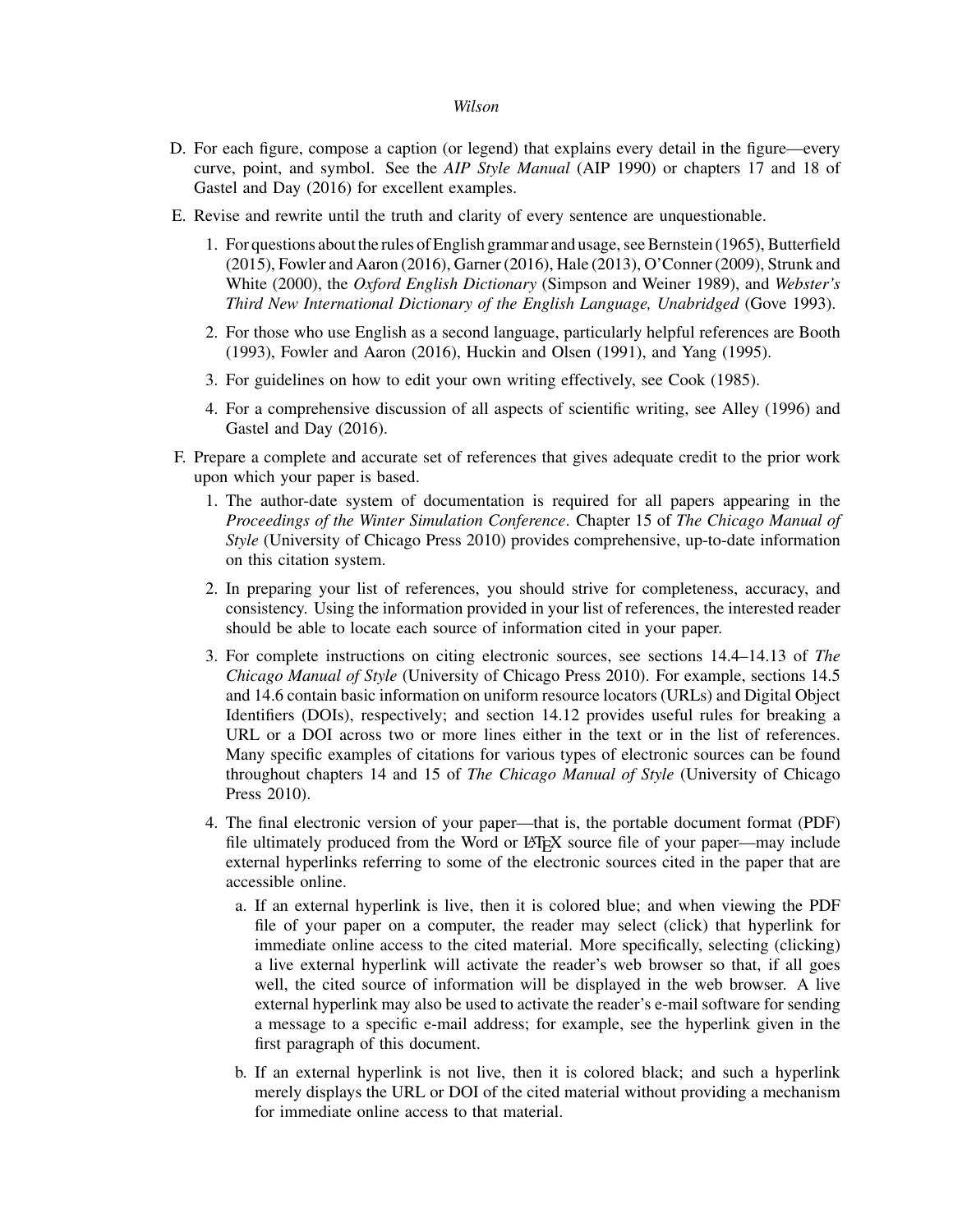- D. For each figure, compose a caption (or legend) that explains every detail in the figure—every curve, point, and symbol. See the *AIP Style Manual* (AIP 1990) or chapters 17 and 18 of Gastel and Day (2016) for excellent examples.
- E. Revise and rewrite until the truth and clarity of every sentence are unquestionable.
	- 1. For questions about the rules of English grammar and usage, see Bernstein (1965), Butterfield (2015), Fowler and Aaron (2016), Garner (2016), Hale (2013), O'Conner (2009), Strunk and White (2000), the *Oxford English Dictionary* (Simpson and Weiner 1989), and *Webster's Third New International Dictionary of the English Language, Unabridged* (Gove 1993).
	- 2. For those who use English as a second language, particularly helpful references are Booth (1993), Fowler and Aaron (2016), Huckin and Olsen (1991), and Yang (1995).
	- 3. For guidelines on how to edit your own writing effectively, see Cook (1985).
	- 4. For a comprehensive discussion of all aspects of scientific writing, see Alley (1996) and Gastel and Day (2016).
- F. Prepare a complete and accurate set of references that gives adequate credit to the prior work upon which your paper is based.
	- 1. The author-date system of documentation is required for all papers appearing in the *Proceedings of the Winter Simulation Conference*. Chapter 15 of *The Chicago Manual of Style* (University of Chicago Press 2010) provides comprehensive, up-to-date information on this citation system.
	- 2. In preparing your list of references, you should strive for completeness, accuracy, and consistency. Using the information provided in your list of references, the interested reader should be able to locate each source of information cited in your paper.
	- 3. For complete instructions on citing electronic sources, see sections 14.4–14.13 of *The Chicago Manual of Style* (University of Chicago Press 2010). For example, sections 14.5 and 14.6 contain basic information on uniform resource locators (URLs) and Digital Object Identifiers (DOIs), respectively; and section 14.12 provides useful rules for breaking a URL or a DOI across two or more lines either in the text or in the list of references. Many specific examples of citations for various types of electronic sources can be found throughout chapters 14 and 15 of *The Chicago Manual of Style* (University of Chicago Press 2010).
	- 4. The final electronic version of your paper—that is, the portable document format (PDF) file ultimately produced from the Word or L<sup>AT</sup>EX source file of your paper—may include external hyperlinks referring to some of the electronic sources cited in the paper that are accessible online.
		- a. If an external hyperlink is live, then it is colored blue; and when viewing the PDF file of your paper on a computer, the reader may select (click) that hyperlink for immediate online access to the cited material. More specifically, selecting (clicking) a live external hyperlink will activate the reader's web browser so that, if all goes well, the cited source of information will be displayed in the web browser. A live external hyperlink may also be used to activate the reader's e-mail software for sending a message to a specific e-mail address; for example, see the hyperlink given in the first paragraph of this document.
		- b. If an external hyperlink is not live, then it is colored black; and such a hyperlink merely displays the URL or DOI of the cited material without providing a mechanism for immediate online access to that material.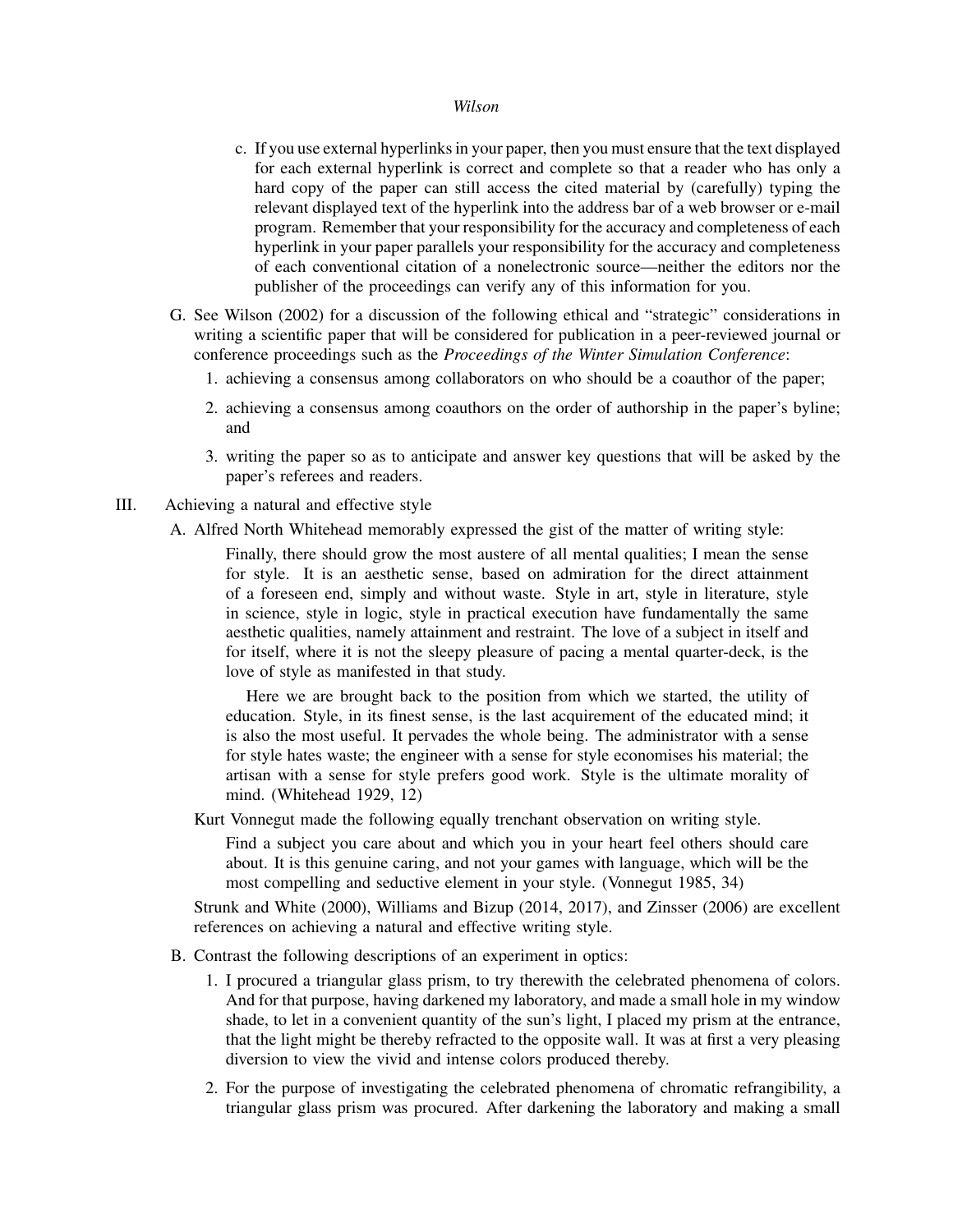- c. If you use external hyperlinks in your paper, then you must ensure that the text displayed for each external hyperlink is correct and complete so that a reader who has only a hard copy of the paper can still access the cited material by (carefully) typing the relevant displayed text of the hyperlink into the address bar of a web browser or e-mail program. Remember that your responsibility for the accuracy and completeness of each hyperlink in your paper parallels your responsibility for the accuracy and completeness of each conventional citation of a nonelectronic source—neither the editors nor the publisher of the proceedings can verify any of this information for you.
- G. See Wilson (2002) for a discussion of the following ethical and "strategic" considerations in writing a scientific paper that will be considered for publication in a peer-reviewed journal or conference proceedings such as the *Proceedings of the Winter Simulation Conference*:
	- 1. achieving a consensus among collaborators on who should be a coauthor of the paper;
	- 2. achieving a consensus among coauthors on the order of authorship in the paper's byline; and
	- 3. writing the paper so as to anticipate and answer key questions that will be asked by the paper's referees and readers.
- III. Achieving a natural and effective style
	- A. Alfred North Whitehead memorably expressed the gist of the matter of writing style:

Finally, there should grow the most austere of all mental qualities; I mean the sense for style. It is an aesthetic sense, based on admiration for the direct attainment of a foreseen end, simply and without waste. Style in art, style in literature, style in science, style in logic, style in practical execution have fundamentally the same aesthetic qualities, namely attainment and restraint. The love of a subject in itself and for itself, where it is not the sleepy pleasure of pacing a mental quarter-deck, is the love of style as manifested in that study.

Here we are brought back to the position from which we started, the utility of education. Style, in its finest sense, is the last acquirement of the educated mind; it is also the most useful. It pervades the whole being. The administrator with a sense for style hates waste; the engineer with a sense for style economises his material; the artisan with a sense for style prefers good work. Style is the ultimate morality of mind. (Whitehead 1929, 12)

Kurt Vonnegut made the following equally trenchant observation on writing style.

Find a subject you care about and which you in your heart feel others should care about. It is this genuine caring, and not your games with language, which will be the most compelling and seductive element in your style. (Vonnegut 1985, 34)

Strunk and White (2000), Williams and Bizup (2014, 2017), and Zinsser (2006) are excellent references on achieving a natural and effective writing style.

- B. Contrast the following descriptions of an experiment in optics:
	- 1. I procured a triangular glass prism, to try therewith the celebrated phenomena of colors. And for that purpose, having darkened my laboratory, and made a small hole in my window shade, to let in a convenient quantity of the sun's light, I placed my prism at the entrance, that the light might be thereby refracted to the opposite wall. It was at first a very pleasing diversion to view the vivid and intense colors produced thereby.
	- 2. For the purpose of investigating the celebrated phenomena of chromatic refrangibility, a triangular glass prism was procured. After darkening the laboratory and making a small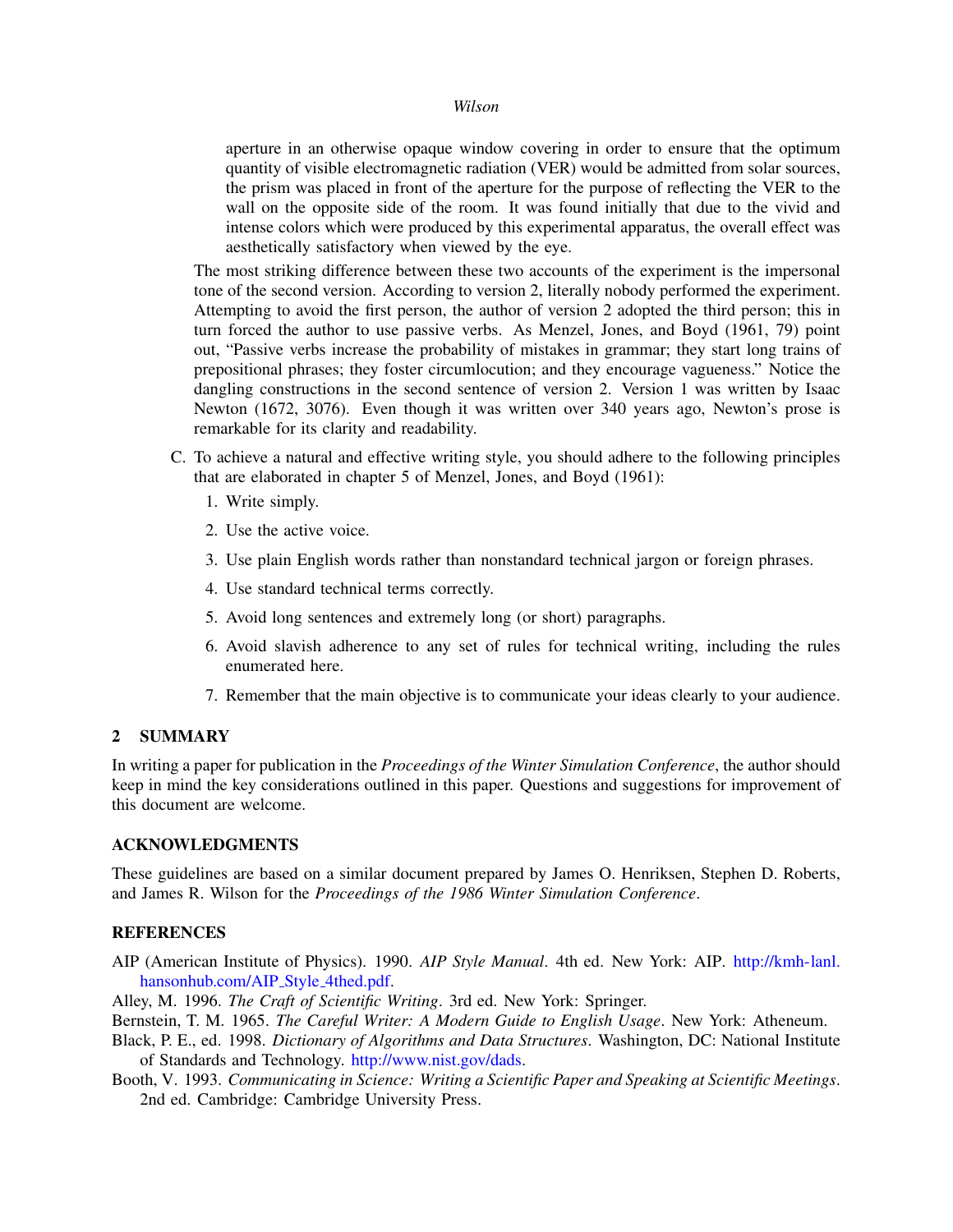aperture in an otherwise opaque window covering in order to ensure that the optimum quantity of visible electromagnetic radiation (VER) would be admitted from solar sources, the prism was placed in front of the aperture for the purpose of reflecting the VER to the wall on the opposite side of the room. It was found initially that due to the vivid and intense colors which were produced by this experimental apparatus, the overall effect was aesthetically satisfactory when viewed by the eye.

The most striking difference between these two accounts of the experiment is the impersonal tone of the second version. According to version 2, literally nobody performed the experiment. Attempting to avoid the first person, the author of version 2 adopted the third person; this in turn forced the author to use passive verbs. As Menzel, Jones, and Boyd (1961, 79) point out, "Passive verbs increase the probability of mistakes in grammar; they start long trains of prepositional phrases; they foster circumlocution; and they encourage vagueness." Notice the dangling constructions in the second sentence of version 2. Version 1 was written by Isaac Newton (1672, 3076). Even though it was written over 340 years ago, Newton's prose is remarkable for its clarity and readability.

- C. To achieve a natural and effective writing style, you should adhere to the following principles that are elaborated in chapter 5 of Menzel, Jones, and Boyd (1961):
	- 1. Write simply.
	- 2. Use the active voice.
	- 3. Use plain English words rather than nonstandard technical jargon or foreign phrases.
	- 4. Use standard technical terms correctly.
	- 5. Avoid long sentences and extremely long (or short) paragraphs.
	- 6. Avoid slavish adherence to any set of rules for technical writing, including the rules enumerated here.
	- 7. Remember that the main objective is to communicate your ideas clearly to your audience.

# 2 SUMMARY

In writing a paper for publication in the *Proceedings of the Winter Simulation Conference*, the author should keep in mind the key considerations outlined in this paper. Questions and suggestions for improvement of this document are welcome.

### ACKNOWLEDGMENTS

These guidelines are based on a similar document prepared by James O. Henriksen, Stephen D. Roberts, and James R. Wilson for the *Proceedings of the 1986 Winter Simulation Conference*.

## **REFERENCES**

AIP (American Institute of Physics). 1990. *AIP Style Manual*. 4th ed. New York: AIP. http://kmh-lanl. hansonhub.com/AIP\_Style\_4thed.pdf.

Alley, M. 1996. *The Craft of Scientific Writing*. 3rd ed. New York: Springer.

Bernstein, T. M. 1965. *The Careful Writer: A Modern Guide to English Usage*. New York: Atheneum.

- Black, P. E., ed. 1998. *Dictionary of Algorithms and Data Structures*. Washington, DC: National Institute of Standards and Technology. http://www.nist.gov/dads.
- Booth, V. 1993. *Communicating in Science: Writing a Scientific Paper and Speaking at Scientific Meetings*. 2nd ed. Cambridge: Cambridge University Press.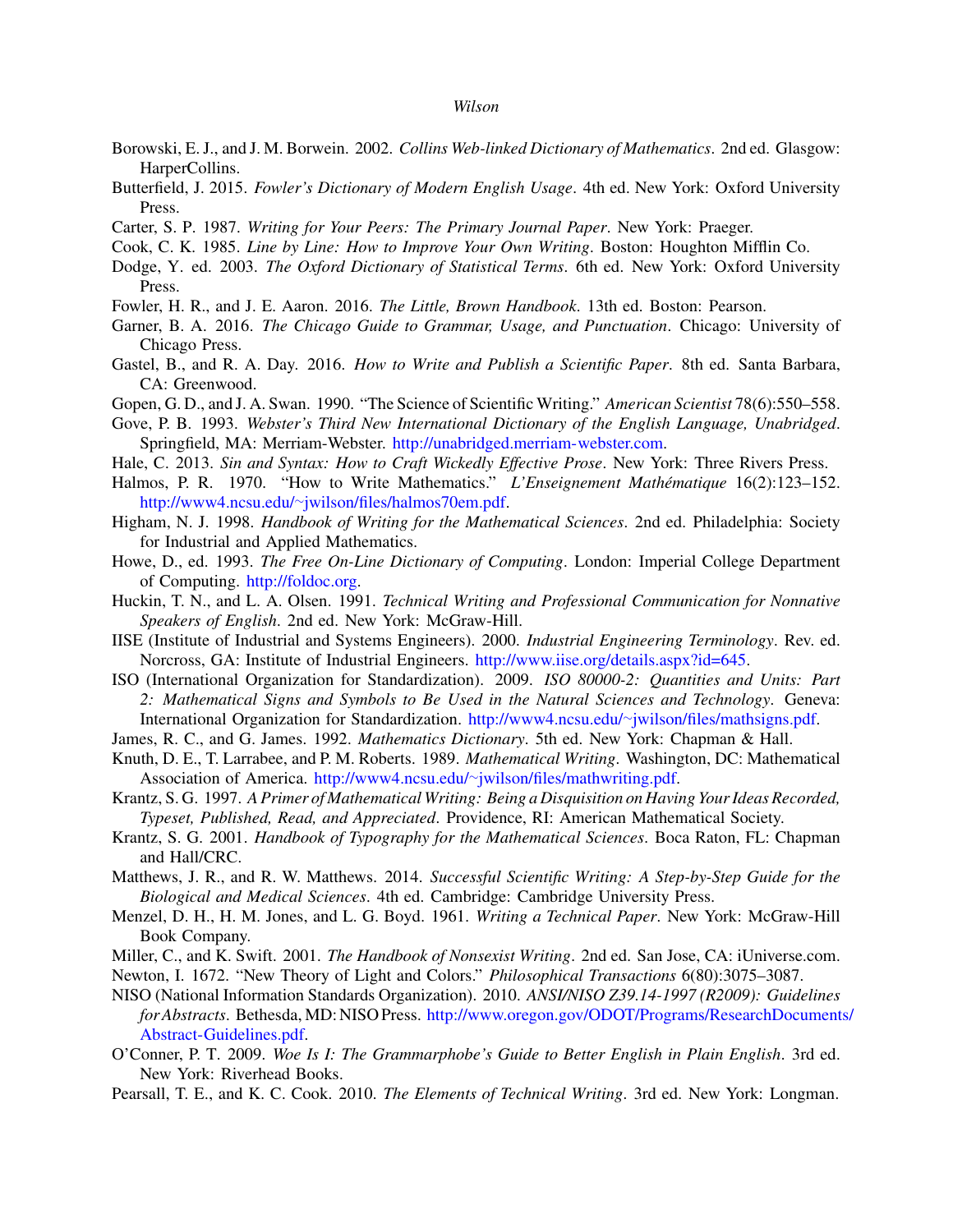- Borowski, E. J., and J. M. Borwein. 2002. *Collins Web-linked Dictionary of Mathematics*. 2nd ed. Glasgow: HarperCollins.
- Butterfield, J. 2015. *Fowler's Dictionary of Modern English Usage*. 4th ed. New York: Oxford University Press.
- Carter, S. P. 1987. *Writing for Your Peers: The Primary Journal Paper*. New York: Praeger.
- Cook, C. K. 1985. *Line by Line: How to Improve Your Own Writing*. Boston: Houghton Mifflin Co.
- Dodge, Y. ed. 2003. *The Oxford Dictionary of Statistical Terms*. 6th ed. New York: Oxford University Press.
- Fowler, H. R., and J. E. Aaron. 2016. *The Little, Brown Handbook*. 13th ed. Boston: Pearson.
- Garner, B. A. 2016. *The Chicago Guide to Grammar, Usage, and Punctuation*. Chicago: University of Chicago Press.
- Gastel, B., and R. A. Day. 2016. *How to Write and Publish a Scientific Paper*. 8th ed. Santa Barbara, CA: Greenwood.
- Gopen, G. D., and J. A. Swan. 1990. "The Science of Scientific Writing." *American Scientist* 78(6):550–558.
- Gove, P. B. 1993. *Webster's Third New International Dictionary of the English Language, Unabridged*. Springfield, MA: Merriam-Webster. http://unabridged.merriam-webster.com.
- Hale, C. 2013. *Sin and Syntax: How to Craft Wickedly Effective Prose*. New York: Three Rivers Press.
- Halmos, P. R. 1970. "How to Write Mathematics." *L'Enseignement Mathématique* 16(2):123-152. http://www4.ncsu.edu/∼jwilson/files/halmos70em.pdf.
- Higham, N. J. 1998. *Handbook of Writing for the Mathematical Sciences*. 2nd ed. Philadelphia: Society for Industrial and Applied Mathematics.
- Howe, D., ed. 1993. *The Free On-Line Dictionary of Computing*. London: Imperial College Department of Computing. http://foldoc.org.
- Huckin, T. N., and L. A. Olsen. 1991. *Technical Writing and Professional Communication for Nonnative Speakers of English*. 2nd ed. New York: McGraw-Hill.
- IISE (Institute of Industrial and Systems Engineers). 2000. *Industrial Engineering Terminology*. Rev. ed. Norcross, GA: Institute of Industrial Engineers. http://www.iise.org/details.aspx?id=645.
- ISO (International Organization for Standardization). 2009. *ISO 80000-2: Quantities and Units: Part 2: Mathematical Signs and Symbols to Be Used in the Natural Sciences and Technology*. Geneva: International Organization for Standardization. http://www4.ncsu.edu/∼jwilson/files/mathsigns.pdf.
- James, R. C., and G. James. 1992. *Mathematics Dictionary*. 5th ed. New York: Chapman & Hall.
- Knuth, D. E., T. Larrabee, and P. M. Roberts. 1989. *Mathematical Writing*. Washington, DC: Mathematical Association of America. http://www4.ncsu.edu/∼jwilson/files/mathwriting.pdf.
- Krantz, S. G. 1997. *A Primer of Mathematical Writing: Being a Disquisition on Having Your Ideas Recorded, Typeset, Published, Read, and Appreciated*. Providence, RI: American Mathematical Society.
- Krantz, S. G. 2001. *Handbook of Typography for the Mathematical Sciences*. Boca Raton, FL: Chapman and Hall/CRC.
- Matthews, J. R., and R. W. Matthews. 2014. *Successful Scientific Writing: A Step-by-Step Guide for the Biological and Medical Sciences*. 4th ed. Cambridge: Cambridge University Press.
- Menzel, D. H., H. M. Jones, and L. G. Boyd. 1961. *Writing a Technical Paper*. New York: McGraw-Hill Book Company.
- Miller, C., and K. Swift. 2001. *The Handbook of Nonsexist Writing*. 2nd ed. San Jose, CA: iUniverse.com.
- Newton, I. 1672. "New Theory of Light and Colors." *Philosophical Transactions* 6(80):3075–3087.
- NISO (National Information Standards Organization). 2010. *ANSI/NISO Z39.14-1997 (R2009): Guidelines for Abstracts*. Bethesda, MD: NISO Press. http://www.oregon.gov/ODOT/Programs/ResearchDocuments/ Abstract-Guidelines.pdf.
- O'Conner, P. T. 2009. *Woe Is I: The Grammarphobe's Guide to Better English in Plain English*. 3rd ed. New York: Riverhead Books.
- Pearsall, T. E., and K. C. Cook. 2010. *The Elements of Technical Writing*. 3rd ed. New York: Longman.